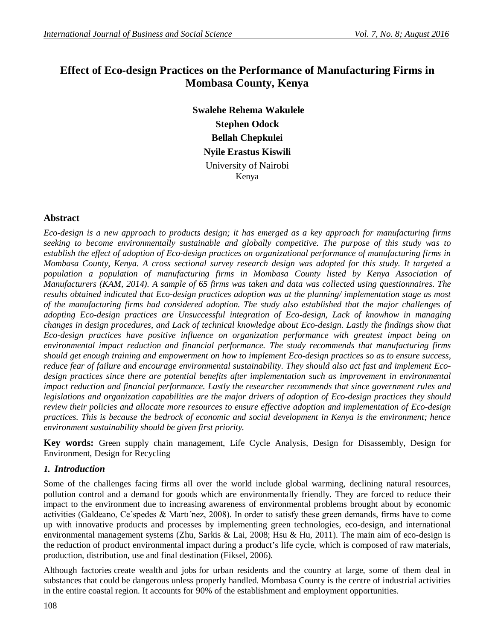# **Effect of Eco-design Practices on the Performance of Manufacturing Firms in Mombasa County, Kenya**

**Swalehe Rehema Wakulele Stephen Odock Bellah Chepkulei Nyile Erastus Kiswili** University of Nairobi Kenya

## **Abstract**

*Eco-design is a new approach to products design; it has emerged as a key approach for manufacturing firms seeking to become environmentally sustainable and globally competitive. The purpose of this study was to establish the effect of adoption of Eco-design practices on organizational performance of manufacturing firms in Mombasa County, Kenya. A cross sectional survey research design was adopted for this study. It targeted a population a population of manufacturing firms in Mombasa County listed by Kenya Association of Manufacturers (KAM, 2014). A sample of 65 firms was taken and data was collected using questionnaires. The results obtained indicated that Eco-design practices adoption was at the planning/ implementation stage as most of the manufacturing firms had considered adoption. The study also established that the major challenges of adopting Eco-design practices are Unsuccessful integration of Eco-design, Lack of knowhow in managing changes in design procedures, and Lack of technical knowledge about Eco-design. Lastly the findings show that Eco-design practices have positive influence on organization performance with greatest impact being on environmental impact reduction and financial performance. The study recommends that manufacturing firms should get enough training and empowerment on how to implement Eco-design practices so as to ensure success, reduce fear of failure and encourage environmental sustainability. They should also act fast and implement Ecodesign practices since there are potential benefits after implementation such as improvement in environmental impact reduction and financial performance. Lastly the researcher recommends that since government rules and legislations and organization capabilities are the major drivers of adoption of Eco-design practices they should review their policies and allocate more resources to ensure effective adoption and implementation of Eco-design practices. This is because the bedrock of economic and social development in Kenya is the environment; hence environment sustainability should be given first priority.*

**Key words:** Green supply chain management, Life Cycle Analysis, Design for Disassembly, Design for Environment, Design for Recycling

## *1. Introduction*

Some of the challenges facing firms all over the world include global warming, declining natural resources, pollution control and a demand for goods which are environmentally friendly. They are forced to reduce their impact to the environment due to increasing awareness of environmental problems brought about by economic activities (Galdeano, Ce´spedes & Martı´nez, 2008). In order to satisfy these green demands, firms have to come up with innovative products and processes by implementing green technologies, eco-design, and international environmental management systems (Zhu, Sarkis & Lai, 2008; Hsu & Hu, 2011). The main aim of eco-design is the reduction of product environmental impact during a product's life cycle, which is composed of raw materials, production, distribution, use and final destination (Fiksel, 2006).

Although factories create wealth and jobs for urban residents and the country at large, some of them deal in substances that could be dangerous unless properly handled. Mombasa County is the centre of industrial activities in the entire coastal region. It accounts for 90% of the establishment and employment opportunities.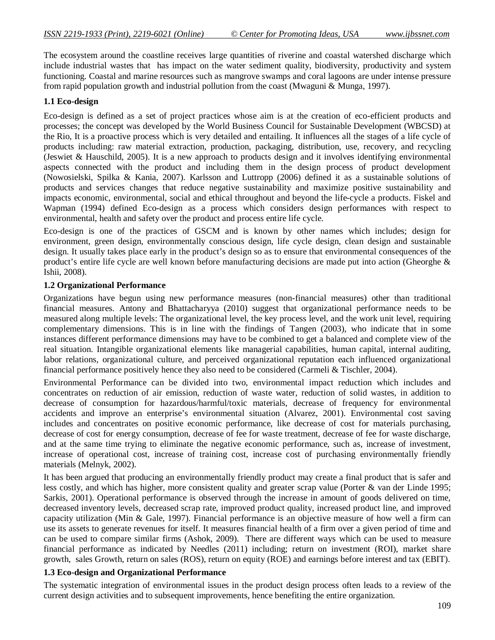The ecosystem around the coastline receives large quantities of riverine and coastal watershed discharge which include industrial wastes that has impact on the water sediment quality, biodiversity, productivity and system functioning. Coastal and marine resources such as mangrove swamps and coral lagoons are under intense pressure from rapid population growth and industrial pollution from the coast (Mwaguni & Munga, 1997).

## **1.1 Eco-design**

Eco-design is defined as a set of project practices whose aim is at the creation of eco-efficient products and processes; the concept was developed by the World Business Council for Sustainable Development (WBCSD) at the Rio, It is a proactive process which is very detailed and entailing. It influences all the stages of a life cycle of products including: raw material extraction, production, packaging, distribution, use, recovery, and recycling (Jeswiet & Hauschild, 2005). It is a new approach to products design and it involves identifying environmental aspects connected with the product and including them in the design process of product development (Nowosielski, Spilka & Kania, 2007). Karlsson and Luttropp (2006) defined it as a sustainable solutions of products and services changes that reduce negative sustainability and maximize positive sustainability and impacts economic, environmental, social and ethical throughout and beyond the life-cycle a products. Fiskel and Wapman (1994) defined Eco-design as a process which considers design performances with respect to environmental, health and safety over the product and process entire life cycle.

Eco-design is one of the practices of GSCM and is known by other names which includes; design for environment, green design, environmentally conscious design, life cycle design, clean design and sustainable design. It usually takes place early in the product's design so as to ensure that environmental consequences of the product's entire life cycle are well known before manufacturing decisions are made put into action (Gheorghe & Ishii, 2008).

## **1.2 Organizational Performance**

Organizations have begun using new performance measures (non-financial measures) other than traditional financial measures. Antony and Bhattacharyya (2010) suggest that organizational performance needs to be measured along multiple levels: The organizational level, the key process level, and the work unit level, requiring complementary dimensions. This is in line with the findings of Tangen (2003), who indicate that in some instances different performance dimensions may have to be combined to get a balanced and complete view of the real situation. Intangible organizational elements like managerial capabilities, human capital, internal auditing, labor relations, organizational culture, and perceived organizational reputation each influenced organizational financial performance positively hence they also need to be considered (Carmeli & Tischler, 2004).

Environmental Performance can be divided into two, environmental impact reduction which includes and concentrates on reduction of air emission, reduction of waste water, reduction of solid wastes, in addition to decrease of consumption for hazardous/harmful/toxic materials, decrease of frequency for environmental accidents and improve an enterprise's environmental situation (Alvarez, 2001). Environmental cost saving includes and concentrates on positive economic performance, like decrease of cost for materials purchasing, decrease of cost for energy consumption, decrease of fee for waste treatment, decrease of fee for waste discharge, and at the same time trying to eliminate the negative economic performance, such as, increase of investment, increase of operational cost, increase of training cost, increase cost of purchasing environmentally friendly materials (Melnyk, 2002).

It has been argued that producing an environmentally friendly product may create a final product that is safer and less costly, and which has higher, more consistent quality and greater scrap value (Porter & van der Linde 1995; Sarkis, 2001). Operational performance is observed through the increase in amount of goods delivered on time, decreased inventory levels, decreased scrap rate, improved product quality, increased product line, and improved capacity utilization (Min & Gale, 1997). Financial performance is an objective measure of how well a firm can use its assets to generate revenues for itself. It measures financial health of a firm over a given period of time and can be used to compare similar firms (Ashok, 2009). There are different ways which can be used to measure financial performance as indicated by Needles (2011) including; return on investment (ROI), market share growth, sales Growth, return on sales (ROS), return on equity (ROE) and earnings before interest and tax (EBIT).

#### **1.3 Eco-design and Organizational Performance**

The systematic integration of environmental issues in the product design process often leads to a review of the current design activities and to subsequent improvements, hence benefiting the entire organization.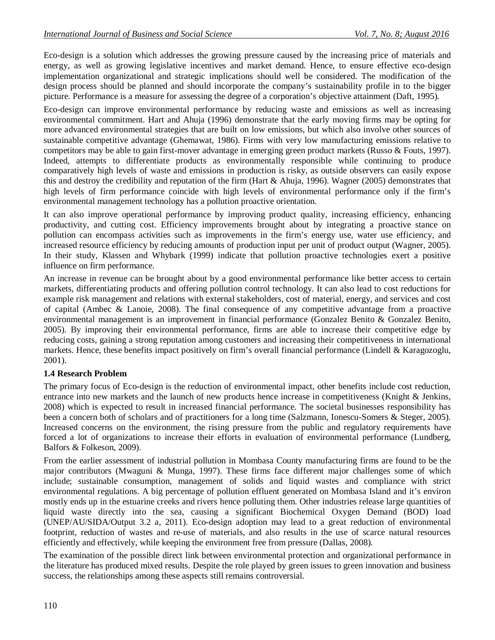Eco-design is a solution which addresses the growing pressure caused by the increasing price of materials and energy, as well as growing legislative incentives and market demand. Hence, to ensure effective eco-design implementation organizational and strategic implications should well be considered. The modification of the design process should be planned and should incorporate the company's sustainability profile in to the bigger picture. Performance is a measure for assessing the degree of a corporation's objective attainment (Daft, 1995).

Eco-design can improve environmental performance by reducing waste and emissions as well as increasing environmental commitment. Hart and Ahuja (1996) demonstrate that the early moving firms may be opting for more advanced environmental strategies that are built on low emissions, but which also involve other sources of sustainable competitive advantage (Ghemawat, 1986). Firms with very low manufacturing emissions relative to competitors may be able to gain first-mover advantage in emerging green product markets (Russo & Fouts, 1997). Indeed, attempts to differentiate products as environmentally responsible while continuing to produce comparatively high levels of waste and emissions in production is risky, as outside observers can easily expose this and destroy the credibility and reputation of the firm (Hart & Ahuja, 1996). Wagner (2005) demonstrates that high levels of firm performance coincide with high levels of environmental performance only if the firm's environmental management technology has a pollution proactive orientation.

It can also improve operational performance by improving product quality, increasing efficiency, enhancing productivity, and cutting cost. Efficiency improvements brought about by integrating a proactive stance on pollution can encompass activities such as improvements in the firm's energy use, water use efficiency, and increased resource efficiency by reducing amounts of production input per unit of product output (Wagner, 2005). In their study, Klassen and Whybark (1999) indicate that pollution proactive technologies exert a positive influence on firm performance.

An increase in revenue can be brought about by a good environmental performance like better access to certain markets, differentiating products and offering pollution control technology. It can also lead to cost reductions for example risk management and relations with external stakeholders, cost of material, energy, and services and cost of capital (Ambec & Lanoie, 2008). The final consequence of any competitive advantage from a proactive environmental management is an improvement in financial performance (Gonzalez Benito & Gonzalez Benito, 2005). By improving their environmental performance, firms are able to increase their competitive edge by reducing costs, gaining a strong reputation among customers and increasing their competitiveness in international markets. Hence, these benefits impact positively on firm's overall financial performance (Lindell & Karagozoglu, 2001).

## **1.4 Research Problem**

The primary focus of Eco-design is the reduction of environmental impact, other benefits include cost reduction, entrance into new markets and the launch of new products hence increase in competitiveness (Knight & Jenkins, 2008) which is expected to result in increased financial performance. The societal businesses responsibility has been a concern both of scholars and of practitioners for a long time (Salzmann, Ionescu-Somers & Steger, 2005). Increased concerns on the environment, the rising pressure from the public and regulatory requirements have forced a lot of organizations to increase their efforts in evaluation of environmental performance (Lundberg, Balfors & Folkeson, 2009).

From the earlier assessment of industrial pollution in Mombasa County manufacturing firms are found to be the major contributors (Mwaguni & Munga, 1997). These firms face different major challenges some of which include; sustainable consumption, management of solids and liquid wastes and compliance with strict environmental regulations. A big percentage of pollution effluent generated on Mombasa Island and it's environ mostly ends up in the estuarine creeks and rivers hence polluting them. Other industries release large quantities of liquid waste directly into the sea, causing a significant Biochemical Oxygen Demand (BOD) load (UNEP/AU/SIDA/Output 3.2 a, 2011). Eco-design adoption may lead to a great reduction of environmental footprint, reduction of wastes and re-use of materials, and also results in the use of scarce natural resources efficiently and effectively, while keeping the environment free from pressure (Dallas, 2008).

The examination of the possible direct link between environmental protection and organizational performance in the literature has produced mixed results. Despite the role played by green issues to green innovation and business success, the relationships among these aspects still remains controversial.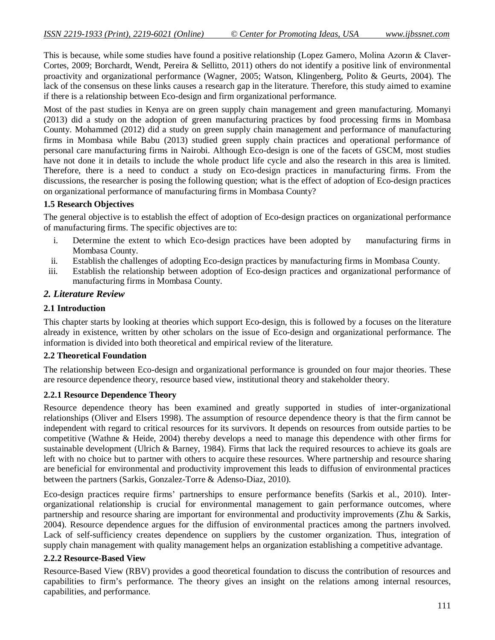This is because, while some studies have found a positive relationship (Lopez Gamero, Molina Azorın & Claver-Cortes, 2009; Borchardt, Wendt, Pereira & Sellitto, 2011) others do not identify a positive link of environmental proactivity and organizational performance (Wagner, 2005; Watson, Klingenberg, Polito & Geurts, 2004). The lack of the consensus on these links causes a research gap in the literature. Therefore, this study aimed to examine if there is a relationship between Eco-design and firm organizational performance.

Most of the past studies in Kenya are on green supply chain management and green manufacturing. Momanyi (2013) did a study on the adoption of green manufacturing practices by food processing firms in Mombasa County. Mohammed (2012) did a study on green supply chain management and performance of manufacturing firms in Mombasa while Babu (2013) studied green supply chain practices and operational performance of personal care manufacturing firms in Nairobi. Although Eco-design is one of the facets of GSCM, most studies have not done it in details to include the whole product life cycle and also the research in this area is limited. Therefore, there is a need to conduct a study on Eco-design practices in manufacturing firms. From the discussions, the researcher is posing the following question; what is the effect of adoption of Eco-design practices on organizational performance of manufacturing firms in Mombasa County?

## **1.5 Research Objectives**

The general objective is to establish the effect of adoption of Eco-design practices on organizational performance of manufacturing firms. The specific objectives are to:

- i. Determine the extent to which Eco-design practices have been adopted by manufacturing firms in Mombasa County.
- ii. Establish the challenges of adopting Eco-design practices by manufacturing firms in Mombasa County.
- iii. Establish the relationship between adoption of Eco-design practices and organizational performance of manufacturing firms in Mombasa County.

## *2. Literature Review*

#### **2.1 Introduction**

This chapter starts by looking at theories which support Eco-design, this is followed by a focuses on the literature already in existence, written by other scholars on the issue of Eco-design and organizational performance. The information is divided into both theoretical and empirical review of the literature.

#### **2.2 Theoretical Foundation**

The relationship between Eco-design and organizational performance is grounded on four major theories. These are resource dependence theory, resource based view, institutional theory and stakeholder theory.

#### **2.2.1 Resource Dependence Theory**

Resource dependence theory has been examined and greatly supported in studies of inter-organizational relationships (Oliver and Elsers 1998). The assumption of resource dependence theory is that the firm cannot be independent with regard to critical resources for its survivors. It depends on resources from outside parties to be competitive (Wathne & Heide, 2004) thereby develops a need to manage this dependence with other firms for sustainable development (Ulrich & Barney, 1984). Firms that lack the required resources to achieve its goals are left with no choice but to partner with others to acquire these resources. Where partnership and resource sharing are beneficial for environmental and productivity improvement this leads to diffusion of environmental practices between the partners (Sarkis, Gonzalez-Torre & Adenso-Diaz, 2010).

Eco-design practices require firms' partnerships to ensure performance benefits (Sarkis et al., 2010). Interorganizational relationship is crucial for environmental management to gain performance outcomes, where partnership and resource sharing are important for environmental and productivity improvements (Zhu & Sarkis, 2004). Resource dependence argues for the diffusion of environmental practices among the partners involved. Lack of self-sufficiency creates dependence on suppliers by the customer organization. Thus, integration of supply chain management with quality management helps an organization establishing a competitive advantage.

#### **2.2.2 Resource-Based View**

Resource-Based View (RBV) provides a good theoretical foundation to discuss the contribution of resources and capabilities to firm's performance. The theory gives an insight on the relations among internal resources, capabilities, and performance.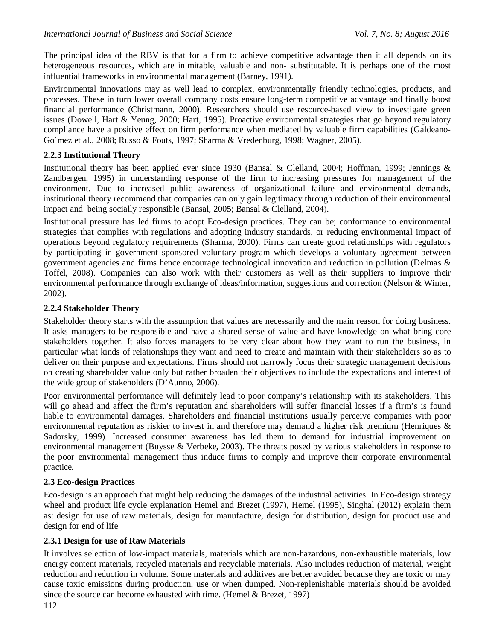The principal idea of the RBV is that for a firm to achieve competitive advantage then it all depends on its heterogeneous resources, which are inimitable, valuable and non- substitutable. It is perhaps one of the most influential frameworks in environmental management (Barney, 1991).

Environmental innovations may as well lead to complex, environmentally friendly technologies, products, and processes. These in turn lower overall company costs ensure long-term competitive advantage and finally boost financial performance (Christmann, 2000). Researchers should use resource-based view to investigate green issues (Dowell, Hart & Yeung, 2000; Hart, 1995). Proactive environmental strategies that go beyond regulatory compliance have a positive effect on firm performance when mediated by valuable firm capabilities (Galdeano-Go´mez et al., 2008; Russo & Fouts, 1997; Sharma & Vredenburg, 1998; Wagner, 2005).

## **2.2.3 Institutional Theory**

Institutional theory has been applied ever since 1930 (Bansal & Clelland, 2004; Hoffman, 1999; Jennings & Zandbergen, 1995) in understanding response of the firm to increasing pressures for management of the environment. Due to increased public awareness of organizational failure and environmental demands, institutional theory recommend that companies can only gain legitimacy through reduction of their environmental impact and being socially responsible (Bansal, 2005; Bansal & Clelland, 2004).

Institutional pressure has led firms to adopt Eco-design practices. They can be; conformance to environmental strategies that complies with regulations and adopting industry standards, or reducing environmental impact of operations beyond regulatory requirements (Sharma, 2000). Firms can create good relationships with regulators by participating in government sponsored voluntary program which develops a voluntary agreement between government agencies and firms hence encourage technological innovation and reduction in pollution (Delmas & Toffel, 2008). Companies can also work with their customers as well as their suppliers to improve their environmental performance through exchange of ideas/information, suggestions and correction (Nelson & Winter, 2002).

## **2.2.4 Stakeholder Theory**

Stakeholder theory starts with the assumption that values are necessarily and the main reason for doing business. It asks managers to be responsible and have a shared sense of value and have knowledge on what bring core stakeholders together. It also forces managers to be very clear about how they want to run the business, in particular what kinds of relationships they want and need to create and maintain with their stakeholders so as to deliver on their purpose and expectations. Firms should not narrowly focus their strategic management decisions on creating shareholder value only but rather broaden their objectives to include the expectations and interest of the wide group of stakeholders (D'Aunno, 2006).

Poor environmental performance will definitely lead to poor company's relationship with its stakeholders. This will go ahead and affect the firm's reputation and shareholders will suffer financial losses if a firm's is found liable to environmental damages. Shareholders and financial institutions usually perceive companies with poor environmental reputation as riskier to invest in and therefore may demand a higher risk premium (Henriques & Sadorsky, 1999). Increased consumer awareness has led them to demand for industrial improvement on environmental management (Buysse & Verbeke, 2003). The threats posed by various stakeholders in response to the poor environmental management thus induce firms to comply and improve their corporate environmental practice.

# **2.3 Eco-design Practices**

Eco-design is an approach that might help reducing the damages of the industrial activities. In Eco-design strategy wheel and product life cycle explanation Hemel and Brezet (1997), Hemel (1995), Singhal (2012) explain them as: design for use of raw materials, design for manufacture, design for distribution, design for product use and design for end of life

# **2.3.1 Design for use of Raw Materials**

It involves selection of low-impact materials, materials which are non-hazardous, non-exhaustible materials, low energy content materials, recycled materials and recyclable materials. Also includes reduction of material, weight reduction and reduction in volume. Some materials and additives are better avoided because they are toxic or may cause toxic emissions during production, use or when dumped. Non-replenishable materials should be avoided since the source can become exhausted with time. (Hemel & Brezet, 1997)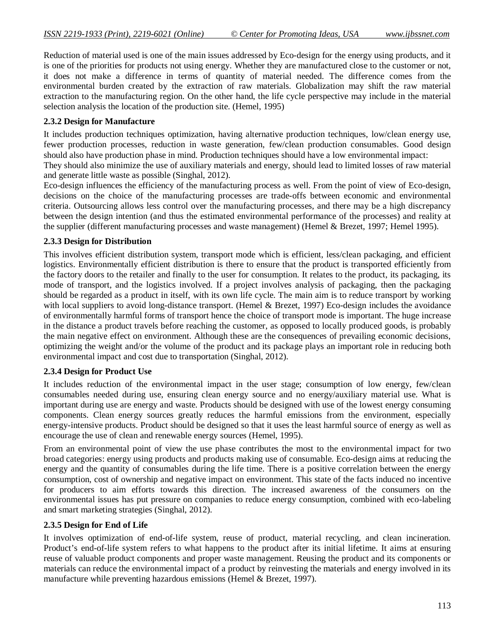Reduction of material used is one of the main issues addressed by Eco-design for the energy using products, and it is one of the priorities for products not using energy. Whether they are manufactured close to the customer or not, it does not make a difference in terms of quantity of material needed. The difference comes from the environmental burden created by the extraction of raw materials. Globalization may shift the raw material extraction to the manufacturing region. On the other hand, the life cycle perspective may include in the material selection analysis the location of the production site. (Hemel, 1995)

## **2.3.2 Design for Manufacture**

It includes production techniques optimization, having alternative production techniques, low/clean energy use, fewer production processes, reduction in waste generation, few/clean production consumables. Good design should also have production phase in mind. Production techniques should have a low environmental impact:

They should also minimize the use of auxiliary materials and energy, should lead to limited losses of raw material and generate little waste as possible (Singhal, 2012).

Eco-design influences the efficiency of the manufacturing process as well. From the point of view of Eco-design, decisions on the choice of the manufacturing processes are trade-offs between economic and environmental criteria. Outsourcing allows less control over the manufacturing processes, and there may be a high discrepancy between the design intention (and thus the estimated environmental performance of the processes) and reality at the supplier (different manufacturing processes and waste management) (Hemel & Brezet, 1997; Hemel 1995).

## **2.3.3 Design for Distribution**

This involves efficient distribution system, transport mode which is efficient, less/clean packaging, and efficient logistics. Environmentally efficient distribution is there to ensure that the product is transported efficiently from the factory doors to the retailer and finally to the user for consumption. It relates to the product, its packaging, its mode of transport, and the logistics involved. If a project involves analysis of packaging, then the packaging should be regarded as a product in itself, with its own life cycle. The main aim is to reduce transport by working with local suppliers to avoid long-distance transport. (Hemel & Brezet, 1997) Eco-design includes the avoidance of environmentally harmful forms of transport hence the choice of transport mode is important. The huge increase in the distance a product travels before reaching the customer, as opposed to locally produced goods, is probably the main negative effect on environment. Although these are the consequences of prevailing economic decisions, optimizing the weight and/or the volume of the product and its package plays an important role in reducing both environmental impact and cost due to transportation (Singhal, 2012).

## **2.3.4 Design for Product Use**

It includes reduction of the environmental impact in the user stage; consumption of low energy, few/clean consumables needed during use, ensuring clean energy source and no energy/auxiliary material use. What is important during use are energy and waste. Products should be designed with use of the lowest energy consuming components. Clean energy sources greatly reduces the harmful emissions from the environment, especially energy-intensive products. Product should be designed so that it uses the least harmful source of energy as well as encourage the use of clean and renewable energy sources (Hemel, 1995).

From an environmental point of view the use phase contributes the most to the environmental impact for two broad categories: energy using products and products making use of consumable. Eco-design aims at reducing the energy and the quantity of consumables during the life time. There is a positive correlation between the energy consumption, cost of ownership and negative impact on environment. This state of the facts induced no incentive for producers to aim efforts towards this direction. The increased awareness of the consumers on the environmental issues has put pressure on companies to reduce energy consumption, combined with eco-labeling and smart marketing strategies (Singhal, 2012).

## **2.3.5 Design for End of Life**

It involves optimization of end-of-life system, reuse of product, material recycling, and clean incineration. Product's end-of-life system refers to what happens to the product after its initial lifetime. It aims at ensuring reuse of valuable product components and proper waste management. Reusing the product and its components or materials can reduce the environmental impact of a product by reinvesting the materials and energy involved in its manufacture while preventing hazardous emissions (Hemel & Brezet, 1997).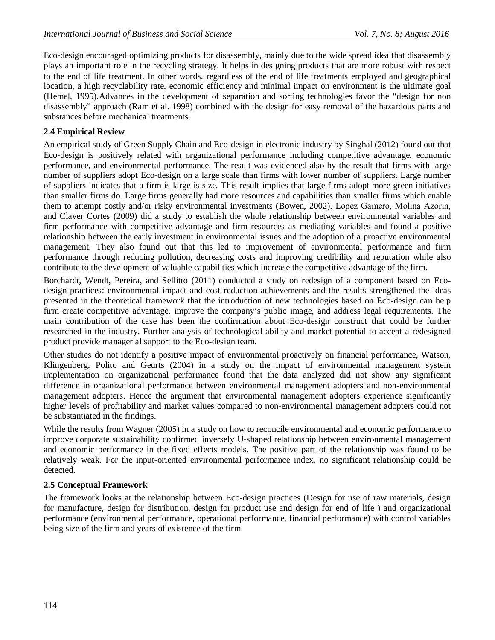Eco-design encouraged optimizing products for disassembly, mainly due to the wide spread idea that disassembly plays an important role in the recycling strategy. It helps in designing products that are more robust with respect to the end of life treatment. In other words, regardless of the end of life treatments employed and geographical location, a high recyclability rate, economic efficiency and minimal impact on environment is the ultimate goal (Hemel, 1995).Advances in the development of separation and sorting technologies favor the "design for non disassembly" approach (Ram et al. 1998) combined with the design for easy removal of the hazardous parts and substances before mechanical treatments.

## **2.4 Empirical Review**

An empirical study of Green Supply Chain and Eco-design in electronic industry by Singhal (2012) found out that Eco-design is positively related with organizational performance including competitive advantage, economic performance, and environmental performance. The result was evidenced also by the result that firms with large number of suppliers adopt Eco-design on a large scale than firms with lower number of suppliers. Large number of suppliers indicates that a firm is large is size. This result implies that large firms adopt more green initiatives than smaller firms do. Large firms generally had more resources and capabilities than smaller firms which enable them to attempt costly and/or risky environmental investments (Bowen, 2002). Lopez Gamero, Molina Azorın, and Claver Cortes (2009) did a study to establish the whole relationship between environmental variables and firm performance with competitive advantage and firm resources as mediating variables and found a positive relationship between the early investment in environmental issues and the adoption of a proactive environmental management. They also found out that this led to improvement of environmental performance and firm performance through reducing pollution, decreasing costs and improving credibility and reputation while also contribute to the development of valuable capabilities which increase the competitive advantage of the firm.

Borchardt, Wendt, Pereira, and Sellitto (2011) conducted a study on redesign of a component based on Ecodesign practices: environmental impact and cost reduction achievements and the results strengthened the ideas presented in the theoretical framework that the introduction of new technologies based on Eco-design can help firm create competitive advantage, improve the company's public image, and address legal requirements. The main contribution of the case has been the confirmation about Eco-design construct that could be further researched in the industry. Further analysis of technological ability and market potential to accept a redesigned product provide managerial support to the Eco-design team.

Other studies do not identify a positive impact of environmental proactively on financial performance, Watson, Klingenberg, Polito and Geurts (2004) in a study on the impact of environmental management system implementation on organizational performance found that the data analyzed did not show any significant difference in organizational performance between environmental management adopters and non-environmental management adopters. Hence the argument that environmental management adopters experience significantly higher levels of profitability and market values compared to non-environmental management adopters could not be substantiated in the findings.

While the results from Wagner (2005) in a study on how to reconcile environmental and economic performance to improve corporate sustainability confirmed inversely U-shaped relationship between environmental management and economic performance in the fixed effects models. The positive part of the relationship was found to be relatively weak. For the input-oriented environmental performance index, no significant relationship could be detected.

#### **2.5 Conceptual Framework**

The framework looks at the relationship between Eco-design practices (Design for use of raw materials, design for manufacture, design for distribution, design for product use and design for end of life ) and organizational performance (environmental performance, operational performance, financial performance) with control variables being size of the firm and years of existence of the firm.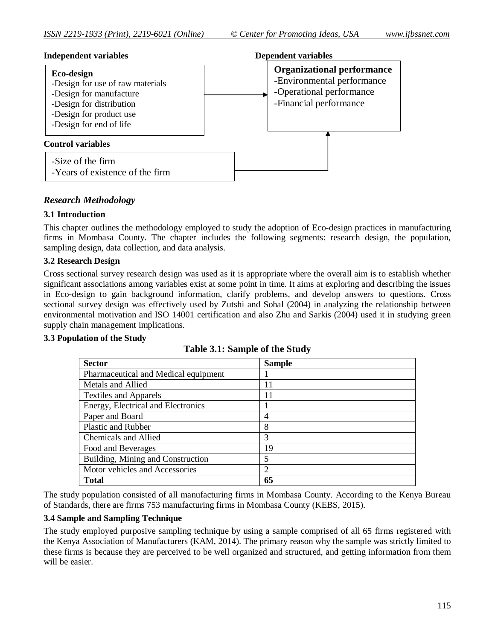

# *Research Methodology*

## **3.1 Introduction**

This chapter outlines the methodology employed to study the adoption of Eco-design practices in manufacturing firms in Mombasa County. The chapter includes the following segments: research design, the population, sampling design, data collection, and data analysis.

## **3.2 Research Design**

Cross sectional survey research design was used as it is appropriate where the overall aim is to establish whether significant associations among variables exist at some point in time. It aims at exploring and describing the issues in Eco-design to gain background information, clarify problems, and develop answers to questions. Cross sectional survey design was effectively used by Zutshi and Sohal (2004) in analyzing the relationship between environmental motivation and ISO 14001 certification and also Zhu and Sarkis (2004) used it in studying green supply chain management implications.

#### **3.3 Population of the Study**

| <b>Sector</b>                        | <b>Sample</b> |
|--------------------------------------|---------------|
| Pharmaceutical and Medical equipment |               |
| Metals and Allied                    | 11            |
| <b>Textiles and Apparels</b>         | 11            |
| Energy, Electrical and Electronics   |               |
| Paper and Board                      | 4             |
| <b>Plastic and Rubber</b>            | 8             |
| Chemicals and Allied                 | 3             |
| Food and Beverages                   | 19            |
| Building, Mining and Construction    | 5             |
| Motor vehicles and Accessories       | 2             |
| <b>Total</b>                         | 65            |

**Table 3.1: Sample of the Study**

The study population consisted of all manufacturing firms in Mombasa County. According to the Kenya Bureau of Standards, there are firms 753 manufacturing firms in Mombasa County (KEBS, 2015).

## **3.4 Sample and Sampling Technique**

The study employed purposive sampling technique by using a sample comprised of all 65 firms registered with the Kenya Association of Manufacturers (KAM, 2014). The primary reason why the sample was strictly limited to these firms is because they are perceived to be well organized and structured, and getting information from them will be easier.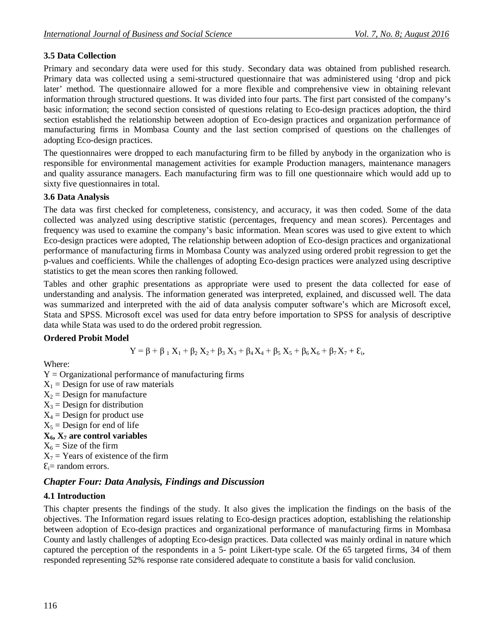# **3.5 Data Collection**

Primary and secondary data were used for this study. Secondary data was obtained from published research. Primary data was collected using a semi-structured questionnaire that was administered using 'drop and pick later' method. The questionnaire allowed for a more flexible and comprehensive view in obtaining relevant information through structured questions. It was divided into four parts. The first part consisted of the company's basic information; the second section consisted of questions relating to Eco-design practices adoption, the third section established the relationship between adoption of Eco-design practices and organization performance of manufacturing firms in Mombasa County and the last section comprised of questions on the challenges of adopting Eco-design practices.

The questionnaires were dropped to each manufacturing firm to be filled by anybody in the organization who is responsible for environmental management activities for example Production managers, maintenance managers and quality assurance managers. Each manufacturing firm was to fill one questionnaire which would add up to sixty five questionnaires in total.

## **3.6 Data Analysis**

The data was first checked for completeness, consistency, and accuracy, it was then coded. Some of the data collected was analyzed using descriptive statistic (percentages, frequency and mean scores). Percentages and frequency was used to examine the company's basic information. Mean scores was used to give extent to which Eco-design practices were adopted, The relationship between adoption of Eco-design practices and organizational performance of manufacturing firms in Mombasa County was analyzed using ordered probit regression to get the p-values and coefficients. While the challenges of adopting Eco-design practices were analyzed using descriptive statistics to get the mean scores then ranking followed.

Tables and other graphic presentations as appropriate were used to present the data collected for ease of understanding and analysis. The information generated was interpreted, explained, and discussed well. The data was summarized and interpreted with the aid of data analysis computer software's which are Microsoft excel, Stata and SPSS. Microsoft excel was used for data entry before importation to SPSS for analysis of descriptive data while Stata was used to do the ordered probit regression.

# **Ordered Probit Model**

$$
Y = \beta + \beta_{1} X_{1} + \beta_{2} X_{2} + \beta_{3} X_{3} + \beta_{4} X_{4} + \beta_{5} X_{5} + \beta_{6} X_{6} + \beta_{7} X_{7} + \epsilon_{i},
$$

Where:

 $Y =$  Organizational performance of manufacturing firms  $X_1$  = Design for use of raw materials

 $X_2$  = Design for manufacture

 $X_3$  = Design for distribution

- $X_4$  = Design for product use
- $X_5$  = Design for end of life
- $X_6$ ,  $X_7$  are control variables
- $X_6$  = Size of the firm
- $X_7$  = Years of existence of the firm

```
\mathcal{E}_i= random errors.
```
# *Chapter Four: Data Analysis, Findings and Discussion*

# **4.1 Introduction**

This chapter presents the findings of the study. It also gives the implication the findings on the basis of the objectives. The Information regard issues relating to Eco-design practices adoption, establishing the relationship between adoption of Eco-design practices and organizational performance of manufacturing firms in Mombasa County and lastly challenges of adopting Eco-design practices. Data collected was mainly ordinal in nature which captured the perception of the respondents in a 5- point Likert-type scale. Of the 65 targeted firms, 34 of them responded representing 52% response rate considered adequate to constitute a basis for valid conclusion.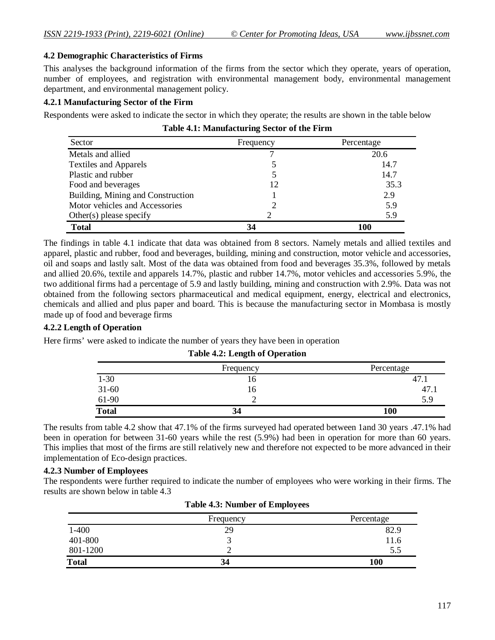## **4.2 Demographic Characteristics of Firms**

This analyses the background information of the firms from the sector which they operate, years of operation, number of employees, and registration with environmental management body, environmental management department, and environmental management policy.

#### **4.2.1 Manufacturing Sector of the Firm**

Respondents were asked to indicate the sector in which they operate; the results are shown in the table below

| Table 4.1: Manufacturing Sector of the Firm |  |
|---------------------------------------------|--|
|---------------------------------------------|--|

| Sector                            | Frequency | Percentage |
|-----------------------------------|-----------|------------|
| Metals and allied                 |           | 20.6       |
| <b>Textiles and Apparels</b>      |           | 14.7       |
| Plastic and rubber                |           | 14.7       |
| Food and beverages                | 12        | 35.3       |
| Building, Mining and Construction |           | 2.9        |
| Motor vehicles and Accessories    |           | 5.9        |
| Other $(s)$ please specify        |           | 5.9        |
| <b>Total</b>                      | 34        | 100        |

The findings in table 4.1 indicate that data was obtained from 8 sectors. Namely metals and allied textiles and apparel, plastic and rubber, food and beverages, building, mining and construction, motor vehicle and accessories, oil and soaps and lastly salt. Most of the data was obtained from food and beverages 35.3%, followed by metals and allied 20.6%, textile and apparels 14.7%, plastic and rubber 14.7%, motor vehicles and accessories 5.9%, the two additional firms had a percentage of 5.9 and lastly building, mining and construction with 2.9%. Data was not obtained from the following sectors pharmaceutical and medical equipment, energy, electrical and electronics, chemicals and allied and plus paper and board. This is because the manufacturing sector in Mombasa is mostly made up of food and beverage firms

#### **4.2.2 Length of Operation**

Here firms' were asked to indicate the number of years they have been in operation

|              | Frequency | Percentage |
|--------------|-----------|------------|
| $1 - 30$     | 16        | 47.1       |
| $31-60$      | 10        | 47.        |
| 61-90        |           | 5.9        |
| <b>Total</b> | 34        | 100        |

**Table 4.2: Length of Operation**

The results from table 4.2 show that 47.1% of the firms surveyed had operated between 1and 30 years .47.1% had been in operation for between 31-60 years while the rest (5.9%) had been in operation for more than 60 years. This implies that most of the firms are still relatively new and therefore not expected to be more advanced in their implementation of Eco-design practices.

#### **4.2.3 Number of Employees**

The respondents were further required to indicate the number of employees who were working in their firms. The results are shown below in table 4.3

| <b>Table 4.3: Number of Employees</b> |           |            |
|---------------------------------------|-----------|------------|
|                                       | Frequency | Percentage |
| $1 - 400$                             | 29        | 82.9       |
| 401-800                               |           | 11.6       |
| 801-1200                              |           | 5.5        |
| Total                                 | 34        | 100        |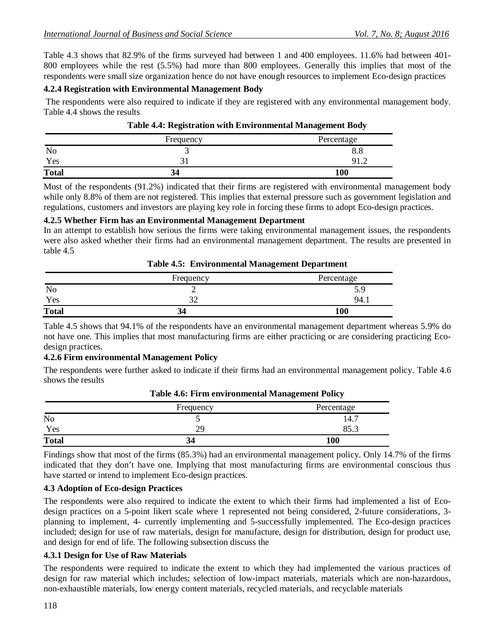Table 4.3 shows that 82.9% of the firms surveyed had between 1 and 400 employees. 11.6% had between 401- 800 employees while the rest (5.5%) had more than 800 employees. Generally this implies that most of the respondents were small size organization hence do not have enough resources to implement Eco-design practices

#### **4.2.4 Registration with Environmental Management Body**

The respondents were also required to indicate if they are registered with any environmental management body. Table 4.4 shows the results

|              | Frequency | Percentage |
|--------------|-----------|------------|
| No           | -         | 0.0        |
| Yes          |           |            |
| <b>Total</b> |           | 100        |

Most of the respondents (91.2%) indicated that their firms are registered with environmental management body while only 8.8% of them are not registered. This implies that external pressure such as government legislation and regulations, customers and investors are playing key role in forcing these firms to adopt Eco-design practices.

#### **4.2.5 Whether Firm has an Environmental Management Department**

In an attempt to establish how serious the firms were taking environmental management issues, the respondents were also asked whether their firms had an environmental management department. The results are presented in table 4.5

|              | Frequency | Percentage         |
|--------------|-----------|--------------------|
| No           |           | ヽぃ<br>. <i>. .</i> |
| Yes          |           | 94.1               |
| <b>Total</b> | 34        | 100                |

|  | <b>Table 4.5: Environmental Management Department</b> |  |  |
|--|-------------------------------------------------------|--|--|
|--|-------------------------------------------------------|--|--|

Table 4.5 shows that 94.1% of the respondents have an environmental management department whereas 5.9% do not have one. This implies that most manufacturing firms are either practicing or are considering practicing Ecodesign practices.

## **4.2.6 Firm environmental Management Policy**

The respondents were further asked to indicate if their firms had an environmental management policy. Table 4.6 shows the results

|              | Frequency | Percentage           |
|--------------|-----------|----------------------|
| No           |           | 14.7                 |
| Yes          | 2G        | $\cap$ $\vdash$<br>J |
| <b>Total</b> | 34        | 100                  |

| <b>Table 4.6: Firm environmental Management Policy</b> |  |  |  |
|--------------------------------------------------------|--|--|--|
|--------------------------------------------------------|--|--|--|

Findings show that most of the firms (85.3%) had an environmental management policy. Only 14.7% of the firms indicated that they don't have one. Implying that most manufacturing firms are environmental conscious thus have started or intend to implement Eco-design practices.

#### **4.3 Adoption of Eco-design Practices**

The respondents were also required to indicate the extent to which their firms had implemented a list of Ecodesign practices on a 5-point likert scale where 1 represented not being considered, 2-future considerations, 3 planning to implement, 4- currently implementing and 5-successfully implemented. The Eco-design practices included; design for use of raw materials, design for manufacture, design for distribution, design for product use, and design for end of life. The following subsection discuss the

#### **4.3.1 Design for Use of Raw Materials**

The respondents were required to indicate the extent to which they had implemented the various practices of design for raw material which includes; selection of low-impact materials, materials which are non-hazardous, non-exhaustible materials, low energy content materials, recycled materials, and recyclable materials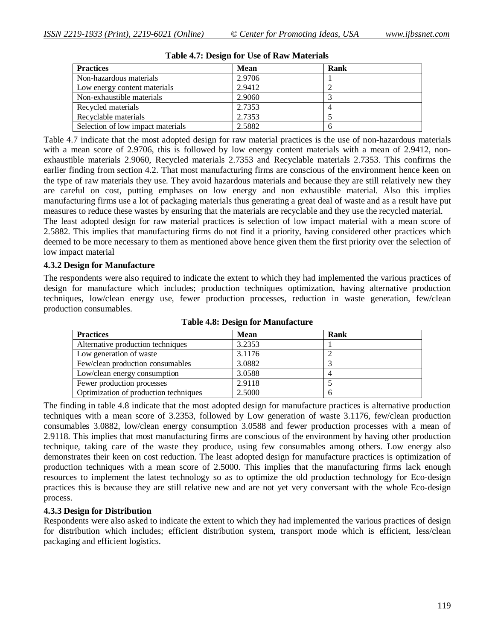| <b>Practices</b>                  | <b>Mean</b> | Rank |  |
|-----------------------------------|-------------|------|--|
| Non-hazardous materials           | 2.9706      |      |  |
| Low energy content materials      | 2.9412      |      |  |
| Non-exhaustible materials         | 2.9060      |      |  |
| Recycled materials                | 2.7353      |      |  |
| Recyclable materials              | 2.7353      |      |  |
| Selection of low impact materials | 2.5882      |      |  |

**Table 4.7: Design for Use of Raw Materials**

Table 4.7 indicate that the most adopted design for raw material practices is the use of non-hazardous materials with a mean score of 2.9706, this is followed by low energy content materials with a mean of 2.9412, nonexhaustible materials 2.9060, Recycled materials 2.7353 and Recyclable materials 2.7353. This confirms the earlier finding from section 4.2. That most manufacturing firms are conscious of the environment hence keen on the type of raw materials they use. They avoid hazardous materials and because they are still relatively new they are careful on cost, putting emphases on low energy and non exhaustible material. Also this implies manufacturing firms use a lot of packaging materials thus generating a great deal of waste and as a result have put measures to reduce these wastes by ensuring that the materials are recyclable and they use the recycled material.

The least adopted design for raw material practices is selection of low impact material with a mean score of 2.5882. This implies that manufacturing firms do not find it a priority, having considered other practices which deemed to be more necessary to them as mentioned above hence given them the first priority over the selection of low impact material

#### **4.3.2 Design for Manufacture**

The respondents were also required to indicate the extent to which they had implemented the various practices of design for manufacture which includes; production techniques optimization, having alternative production techniques, low/clean energy use, fewer production processes, reduction in waste generation, few/clean production consumables.

| <b>Practices</b>                      | <b>Mean</b> | Rank |  |
|---------------------------------------|-------------|------|--|
| Alternative production techniques     | 3.2353      |      |  |
| Low generation of waste               | 3.1176      |      |  |
| Few/clean production consumables      | 3.0882      |      |  |
| Low/clean energy consumption          | 3.0588      |      |  |
| Fewer production processes            | 2.9118      |      |  |
| Optimization of production techniques | 2.5000      |      |  |

**Table 4.8: Design for Manufacture**

The finding in table 4.8 indicate that the most adopted design for manufacture practices is alternative production techniques with a mean score of 3.2353, followed by Low generation of waste 3.1176, few/clean production consumables 3.0882, low/clean energy consumption 3.0588 and fewer production processes with a mean of 2.9118. This implies that most manufacturing firms are conscious of the environment by having other production technique, taking care of the waste they produce, using few consumables among others. Low energy also demonstrates their keen on cost reduction. The least adopted design for manufacture practices is optimization of production techniques with a mean score of 2.5000. This implies that the manufacturing firms lack enough resources to implement the latest technology so as to optimize the old production technology for Eco-design practices this is because they are still relative new and are not yet very conversant with the whole Eco-design process.

#### **4.3.3 Design for Distribution**

Respondents were also asked to indicate the extent to which they had implemented the various practices of design for distribution which includes; efficient distribution system, transport mode which is efficient, less/clean packaging and efficient logistics.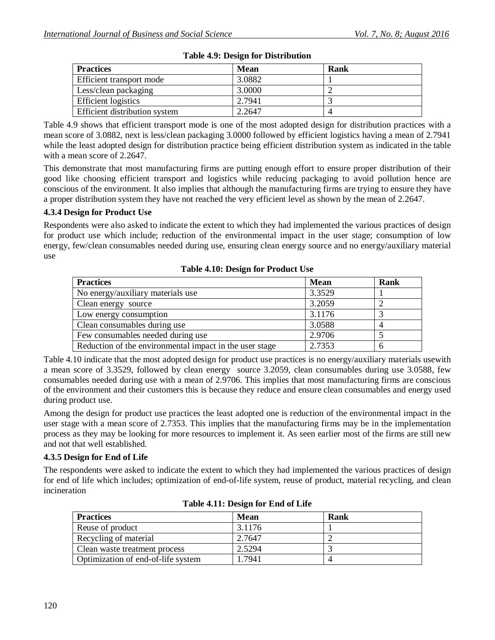| <b>Practices</b>              | Mean   | Rank |
|-------------------------------|--------|------|
| Efficient transport mode      | 3.0882 |      |
| Less/clean packaging          | 3.0000 |      |
| <b>Efficient</b> logistics    | 2.7941 |      |
| Efficient distribution system | 2.2647 |      |

## **Table 4.9: Design for Distribution**

Table 4.9 shows that efficient transport mode is one of the most adopted design for distribution practices with a mean score of 3.0882, next is less/clean packaging 3.0000 followed by efficient logistics having a mean of 2.7941 while the least adopted design for distribution practice being efficient distribution system as indicated in the table with a mean score of 2.2647.

This demonstrate that most manufacturing firms are putting enough effort to ensure proper distribution of their good like choosing efficient transport and logistics while reducing packaging to avoid pollution hence are conscious of the environment. It also implies that although the manufacturing firms are trying to ensure they have a proper distribution system they have not reached the very efficient level as shown by the mean of 2.2647.

## **4.3.4 Design for Product Use**

Respondents were also asked to indicate the extent to which they had implemented the various practices of design for product use which include; reduction of the environmental impact in the user stage; consumption of low energy, few/clean consumables needed during use, ensuring clean energy source and no energy/auxiliary material use

| <b>Practices</b>                                        | <b>Mean</b> | Rank |
|---------------------------------------------------------|-------------|------|
| No energy/auxiliary materials use                       | 3.3529      |      |
| Clean energy source                                     | 3.2059      |      |
| Low energy consumption                                  | 3.1176      |      |
| Clean consumables during use                            | 3.0588      | 4    |
| Few consumables needed during use                       | 2.9706      |      |
| Reduction of the environmental impact in the user stage | 2.7353      | 6    |

**Table 4.10: Design for Product Use**

Table 4.10 indicate that the most adopted design for product use practices is no energy/auxiliary materials usewith a mean score of 3.3529, followed by clean energy source 3.2059, clean consumables during use 3.0588, few consumables needed during use with a mean of 2.9706. This implies that most manufacturing firms are conscious of the environment and their customers this is because they reduce and ensure clean consumables and energy used during product use.

Among the design for product use practices the least adopted one is reduction of the environmental impact in the user stage with a mean score of 2.7353. This implies that the manufacturing firms may be in the implementation process as they may be looking for more resources to implement it. As seen earlier most of the firms are still new and not that well established.

## **4.3.5 Design for End of Life**

The respondents were asked to indicate the extent to which they had implemented the various practices of design for end of life which includes; optimization of end-of-life system, reuse of product, material recycling, and clean incineration

| <b>Practices</b>                   | Mean   | Rank |
|------------------------------------|--------|------|
| Reuse of product                   | 3.1176 |      |
| Recycling of material              | 2.7647 |      |
| Clean waste treatment process      | 2.5294 |      |
| Optimization of end-of-life system | 1.7941 |      |

**Table 4.11: Design for End of Life**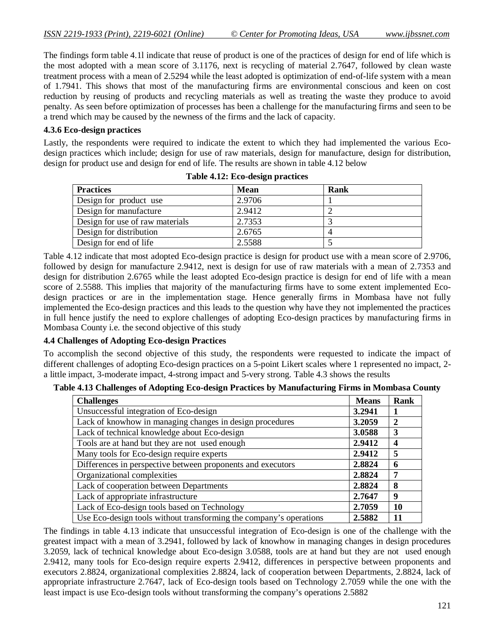The findings form table 4.1l indicate that reuse of product is one of the practices of design for end of life which is the most adopted with a mean score of 3.1176, next is recycling of material 2.7647, followed by clean waste treatment process with a mean of 2.5294 while the least adopted is optimization of end-of-life system with a mean of 1.7941. This shows that most of the manufacturing firms are environmental conscious and keen on cost reduction by reusing of products and recycling materials as well as treating the waste they produce to avoid penalty. As seen before optimization of processes has been a challenge for the manufacturing firms and seen to be a trend which may be caused by the newness of the firms and the lack of capacity.

## **4.3.6 Eco-design practices**

Lastly, the respondents were required to indicate the extent to which they had implemented the various Ecodesign practices which include; design for use of raw materials, design for manufacture, design for distribution, design for product use and design for end of life. The results are shown in table 4.12 below

| <b>Practices</b>                | <b>Mean</b> | Rank |  |
|---------------------------------|-------------|------|--|
| Design for product use          | 2.9706      |      |  |
| Design for manufacture          | 2.9412      |      |  |
| Design for use of raw materials | 2.7353      |      |  |
| Design for distribution         | 2.6765      |      |  |
| Design for end of life          | 2.5588      |      |  |

**Table 4.12: Eco-design practices**

Table 4.12 indicate that most adopted Eco-design practice is design for product use with a mean score of 2.9706, followed by design for manufacture 2.9412, next is design for use of raw materials with a mean of 2.7353 and design for distribution 2.6765 while the least adopted Eco-design practice is design for end of life with a mean score of 2.5588. This implies that majority of the manufacturing firms have to some extent implemented Ecodesign practices or are in the implementation stage. Hence generally firms in Mombasa have not fully implemented the Eco-design practices and this leads to the question why have they not implemented the practices in full hence justify the need to explore challenges of adopting Eco-design practices by manufacturing firms in Mombasa County i.e. the second objective of this study

## **4.4 Challenges of Adopting Eco-design Practices**

To accomplish the second objective of this study, the respondents were requested to indicate the impact of different challenges of adopting Eco-design practices on a 5-point Likert scales where 1 represented no impact, 2 a little impact, 3-moderate impact, 4-strong impact and 5-very strong. Table 4.3 shows the results

|  |  |  |  |  | Table 4.13 Challenges of Adopting Eco-design Practices by Manufacturing Firms in Mombasa County |  |  |
|--|--|--|--|--|-------------------------------------------------------------------------------------------------|--|--|
|--|--|--|--|--|-------------------------------------------------------------------------------------------------|--|--|

| <b>Challenges</b>                                                  | <b>Means</b> | Rank |
|--------------------------------------------------------------------|--------------|------|
| Unsuccessful integration of Eco-design                             | 3.2941       |      |
| Lack of knowhow in managing changes in design procedures           | 3.2059       | 2    |
| Lack of technical knowledge about Eco-design                       | 3.0588       | 3    |
| Tools are at hand but they are not used enough                     | 2.9412       | 4    |
| Many tools for Eco-design require experts                          | 2.9412       | 5    |
| Differences in perspective between proponents and executors        | 2.8824       | 6    |
| Organizational complexities                                        | 2.8824       | 7    |
| Lack of cooperation between Departments                            | 2.8824       | 8    |
| Lack of appropriate infrastructure                                 | 2.7647       | 9    |
| Lack of Eco-design tools based on Technology                       | 2.7059       | 10   |
| Use Eco-design tools without transforming the company's operations | 2.5882       | 11   |

The findings in table 4.13 indicate that unsuccessful integration of Eco-design is one of the challenge with the greatest impact with a mean of 3.2941, followed by lack of knowhow in managing changes in design procedures 3.2059, lack of technical knowledge about Eco-design 3.0588, tools are at hand but they are not used enough 2.9412, many tools for Eco-design require experts 2.9412, differences in perspective between proponents and executors 2.8824, organizational complexities 2.8824, lack of cooperation between Departments, 2.8824, lack of appropriate infrastructure 2.7647, lack of Eco-design tools based on Technology 2.7059 while the one with the least impact is use Eco-design tools without transforming the company's operations 2.5882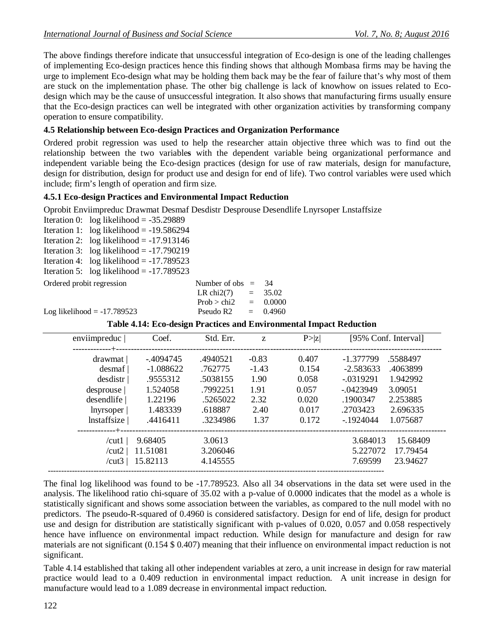The above findings therefore indicate that unsuccessful integration of Eco-design is one of the leading challenges of implementing Eco-design practices hence this finding shows that although Mombasa firms may be having the urge to implement Eco-design what may be holding them back may be the fear of failure that's why most of them are stuck on the implementation phase. The other big challenge is lack of knowhow on issues related to Ecodesign which may be the cause of unsuccessful integration. It also shows that manufacturing firms usually ensure that the Eco-design practices can well be integrated with other organization activities by transforming company operation to ensure compatibility.

#### **4.5 Relationship between Eco-design Practices and Organization Performance**

Ordered probit regression was used to help the researcher attain objective three which was to find out the relationship between the two variable**s** with the dependent variable being organizational performance and independent variable being the Eco-design practices (design for use of raw materials, design for manufacture, design for distribution, design for product use and design for end of life). Two control variables were used which include; firm's length of operation and firm size.

## **4.5.1 Eco-design Practices and Environmental Impact Reduction**

Oprobit Enviimpreduc Drawmat Desmaf Desdistr Desprouse Desendlife Lnyrsoper Lnstaffsize

Iteration 0:  $log$  likelihood =  $-35.29889$ Iteration 1:  $log likelihood = -19.586294$ Iteration 2:  $log likelihood = -17.913146$ Iteration 3: log likelihood =  $-17.790219$ Iteration 4:  $log likelihood = -17.789523$ Iteration 5: log likelihood =  $-17.789523$ 

| Ordered probit regression     | Number of obs $=$ 34 |            |
|-------------------------------|----------------------|------------|
|                               | LR chi2(7) = $35.02$ |            |
|                               | Prob > chi2          | $= 0.0000$ |
| Log likelihood = $-17.789523$ | Pseudo R2            | $= 0.4960$ |

**Table 4.14: Eco-design Practices and Environmental Impact Reduction**

| enviimpreduc               | Coef.       | Std. Err. | Z       | P >  z | [95% Conf. Interval]    |
|----------------------------|-------------|-----------|---------|--------|-------------------------|
| -------------+-<br>drawmat | $-4094745$  | .4940521  | $-0.83$ | 0.407  | $-1.377799$<br>.5588497 |
| desmaf                     | $-1.088622$ | .762775   | $-1.43$ | 0.154  | $-2.583633$<br>.4063899 |
| desdistr                   | .9555312    | .5038155  | 1.90    | 0.058  | 1.942992<br>$-.0319291$ |
| desprouse                  | 1.524058    | .7992251  | 1.91    | 0.057  | $-.0423949$<br>3.09051  |
| desendlife                 | 1.22196     | .5265022  | 2.32    | 0.020  | .1900347<br>2.253885    |
| lnyrsoper                  | 1.483339    | .618887   | 2.40    | 0.017  | .2703423<br>2.696335    |
| Instaffsize                | .4416411    | .3234986  | 1.37    | 0.172  | $-1924044$<br>1.075687  |
| /cut1 $\vert$              | 9.68405     | 3.0613    |         |        | 15.68409<br>3.684013    |
| /cut2 $\vert$              | 11.51081    | 3.206046  |         |        | 5.227072<br>17.79454    |
| /cut3 $ $                  | 15.82113    | 4.145555  |         |        | 7.69599<br>23.94627     |

The final log likelihood was found to be -17.789523. Also all 34 observations in the data set were used in the analysis. The likelihood ratio chi-square of 35.02 with a p-value of 0.0000 indicates that the model as a whole is statistically significant and shows some association between the variables, as compared to the null model with no predictors. The pseudo-R-squared of 0.4960 is considered satisfactory. Design for end of life, design for product use and design for distribution are statistically significant with p-values of 0.020, 0.057 and 0.058 respectively hence have influence on environmental impact reduction. While design for manufacture and design for raw materials are not significant (0.154 \$ 0.407) meaning that their influence on environmental impact reduction is not significant.

Table 4.14 established that taking all other independent variables at zero, a unit increase in design for raw material practice would lead to a 0.409 reduction in environmental impact reduction. A unit increase in design for manufacture would lead to a 1.089 decrease in environmental impact reduction.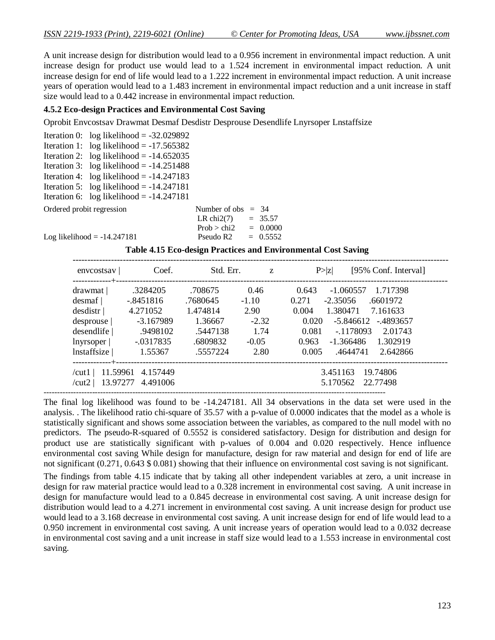A unit increase design for distribution would lead to a 0.956 increment in environmental impact reduction. A unit increase design for product use would lead to a 1.524 increment in environmental impact reduction. A unit increase design for end of life would lead to a 1.222 increment in environmental impact reduction. A unit increase years of operation would lead to a 1.483 increment in environmental impact reduction and a unit increase in staff size would lead to a 0.442 increase in environmental impact reduction.

#### **4.5.2 Eco-design Practices and Environmental Cost Saving**

Oprobit Envcostsav Drawmat Desmaf Desdistr Desprouse Desendlife Lnyrsoper Lnstaffsize

|                           | Iteration 0: $log$ likelihood = -32.029892 |                      |  |
|---------------------------|--------------------------------------------|----------------------|--|
|                           | Iteration 1: $log likelihood = -17.565382$ |                      |  |
|                           | Iteration 2: $log likelihood = -14.652035$ |                      |  |
|                           | Iteration 3: $log likelihood = -14.251488$ |                      |  |
|                           | Iteration 4: $log likelihood = -14.247183$ |                      |  |
|                           | Iteration 5: $log likelihood = -14.247181$ |                      |  |
|                           | Iteration 6: $log likelihood = -14.247181$ |                      |  |
| Ordered probit regression |                                            | Number of obs $= 34$ |  |
|                           |                                            | LR chi2(7) = $35.57$ |  |

| Number of $obs =$ | -34        |
|-------------------|------------|
|                   | $= 35.57$  |
|                   | $= 0.0000$ |
|                   | $= 0.5552$ |
|                   |            |

Log likelihood  $= -14.247181$ 

**Table 4.15 Eco-design Practices and Environmental Cost Saving**

| envcostsav                | Coef.       | Std. Err. | Z       | [95% Conf. Interval]<br>P >  Z   |
|---------------------------|-------------|-----------|---------|----------------------------------|
| drawmat                   | .3284205    | .708675   | 0.46    | $-1.060557$<br>1.717398<br>0.643 |
| desmaf                    | $-.8451816$ | .7680645  | $-1.10$ | 0.271<br>$-2.35056$<br>.6601972  |
| desdistr                  | 4.271052    | 1.474814  | 2.90    | 0.004<br>1.380471<br>7.161633    |
| desprouse                 | -3.167989   | 1.36667   | $-2.32$ | 0.020<br>-5.846612 -.4893657     |
| desendlife                | .9498102    | .5447138  | 1.74    | $-1178093$<br>0.081<br>2.01743   |
| lnyrsoper                 | $-.0317835$ | .6809832  | $-0.05$ | -1.366486<br>1.302919<br>0.963   |
| Instaffsize               | 1.55367     | .5557224  | 2.80    | 0.005<br>.4644741<br>2.642866    |
| 11.59961<br>/cut1 $\vert$ | 4.157449    |           |         | 19.74806<br>3.451163             |
| 13.97277<br>/cut2 $\vert$ | 4.491006    |           |         | 5.170562<br>22.77498             |

The final log likelihood was found to be -14.247181. All 34 observations in the data set were used in the analysis. . The likelihood ratio chi-square of 35.57 with a p-value of 0.0000 indicates that the model as a whole is statistically significant and shows some association between the variables, as compared to the null model with no predictors. The pseudo-R-squared of 0.5552 is considered satisfactory. Design for distribution and design for product use are statistically significant with p-values of 0.004 and 0.020 respectively. Hence influence environmental cost saving While design for manufacture, design for raw material and design for end of life are not significant (0.271, 0.643 \$ 0.081) showing that their influence on environmental cost saving is not significant.

The findings from table 4.15 indicate that by taking all other independent variables at zero, a unit increase in design for raw material practice would lead to a 0.328 increment in environmental cost saving. A unit increase in design for manufacture would lead to a 0.845 decrease in environmental cost saving. A unit increase design for distribution would lead to a 4.271 increment in environmental cost saving. A unit increase design for product use would lead to a 3.168 decrease in environmental cost saving. A unit increase design for end of life would lead to a 0.950 increment in environmental cost saving. A unit increase years of operation would lead to a 0.032 decrease in environmental cost saving and a unit increase in staff size would lead to a 1.553 increase in environmental cost saving.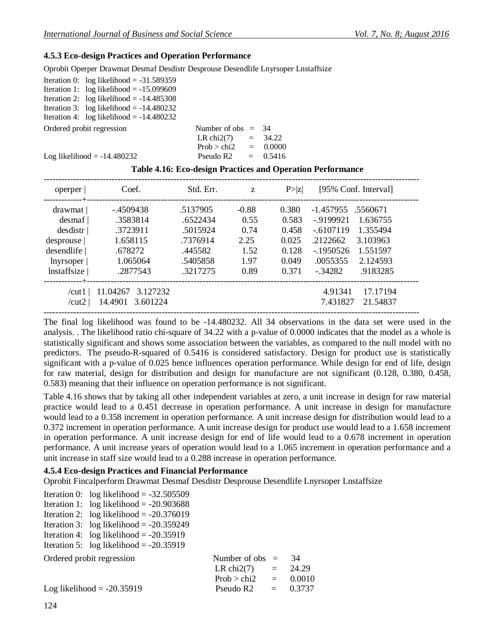## **4.5.3 Eco-design Practices and Operation Performance**

Oprobit Operper Drawmat Desmaf Desdistr Desprouse Desendlife Lnyrsoper Lnstaffsize

| Iteration 0: $log$ likelihood = -31.589359 |                        |  |
|--------------------------------------------|------------------------|--|
| Iteration 1: $log likelihood = -15.099609$ |                        |  |
| Iteration 2: $log likelihood = -14.485308$ |                        |  |
| Iteration 3: $log likelihood = -14.480232$ |                        |  |
| Iteration 4: $log likelihood = -14.480232$ |                        |  |
| Ordered probit regression                  | Number of obs $=$ 34   |  |
|                                            | LR chi2(7) = $34.22$   |  |
|                                            | Prob > chi2 = $0.0000$ |  |
| Log likelihood $= -14.480232$              | Pseudo R2 $= 0.5416$   |  |

| operper                                                                                  | Coef.                                                                            | Std. Err.                                                                       | Z                                                       | P >  Z                                                      | [95% Conf. Interval]                                                                                                                                                        |
|------------------------------------------------------------------------------------------|----------------------------------------------------------------------------------|---------------------------------------------------------------------------------|---------------------------------------------------------|-------------------------------------------------------------|-----------------------------------------------------------------------------------------------------------------------------------------------------------------------------|
| drawmat  <br>desmaf<br>desdistr<br>desprouse  <br>desendlife<br>lnyrsoper<br>Instaffsize | -.4509438<br>.3583814<br>.3723911<br>1.658115<br>.678272<br>1.065064<br>.2877543 | .5137905<br>.6522434<br>.5015924<br>.7376914<br>.445582<br>.5405858<br>.3217275 | $-0.88$<br>0.55<br>0.74<br>2.25<br>1.52<br>1.97<br>0.89 | 0.380<br>0.583<br>0.458<br>0.025<br>0.128<br>0.049<br>0.371 | -1.457955<br>.5560671<br>$-9199921$<br>1.636755<br>$-6107119$<br>1.355494<br>.2122662<br>3.103963<br>$-1950526$<br>1.551597<br>.0055355<br>2.124593<br>.9183285<br>$-34282$ |
| /cut1<br>/cut2                                                                           | 11.04267<br>3.127232<br>14.4901<br>3.601224                                      | -------------------------                                                       |                                                         |                                                             | 17.17194<br>4.91341<br>7.431827<br>21.54837                                                                                                                                 |

The final log likelihood was found to be -14.480232. All 34 observations in the data set were used in the analysis. . The likelihood ratio chi-square of 34.22 with a p-value of 0.0000 indicates that the model as a whole is statistically significant and shows some association between the variables, as compared to the null model with no predictors. The pseudo-R-squared of 0.5416 is considered satisfactory. Design for product use is statistically significant with a p-value of 0.025 hence influences operation performance. While design for end of life, design for raw material, design for distribution and design for manufacture are not significant (0.128, 0.380, 0.458, 0.583) meaning that their influence on operation performance is not significant.

Table 4.16 shows that by taking all other independent variables at zero, a unit increase in design for raw material practice would lead to a 0.451 decrease in operation performance. A unit increase in design for manufacture would lead to a 0.358 increment in operation performance. A unit increase design for distribution would lead to a 0.372 increment in operation performance. A unit increase design for product use would lead to a 1.658 increment in operation performance. A unit increase design for end of life would lead to a 0.678 increment in operation performance. A unit increase years of operation would lead to a 1.065 increment in operation performance and a unit increase in staff size would lead to a 0.288 increase in operation performance.

#### **4.5.4 Eco-design Practices and Financial Performance**

Oprobit Fincalperform Drawmat Desmaf Desdistr Desprouse Desendlife Lnyrsoper Lnstaffsize

|                           | Iteration 0: $log$ likelihood = -32.505509 |                        |        |
|---------------------------|--------------------------------------------|------------------------|--------|
|                           | Iteration 1: $log likelihood = -20.903688$ |                        |        |
|                           | Iteration 2: $log likelihood = -20.376019$ |                        |        |
|                           | Iteration 3: log likelihood = $-20.359249$ |                        |        |
|                           | Iteration 4: $log likelihood = -20.35919$  |                        |        |
|                           | Iteration 5: $log likelihood = -20.35919$  |                        |        |
| Ordered probit regression |                                            | Number of obs $=$      | 34     |
|                           |                                            | LR chi2(7) $=$         | 24.29  |
|                           |                                            | $Prob > chi2 = 0.0010$ |        |
|                           | Log likelihood $= -20.35919$               | Pseudo $R2 =$          | 0.3737 |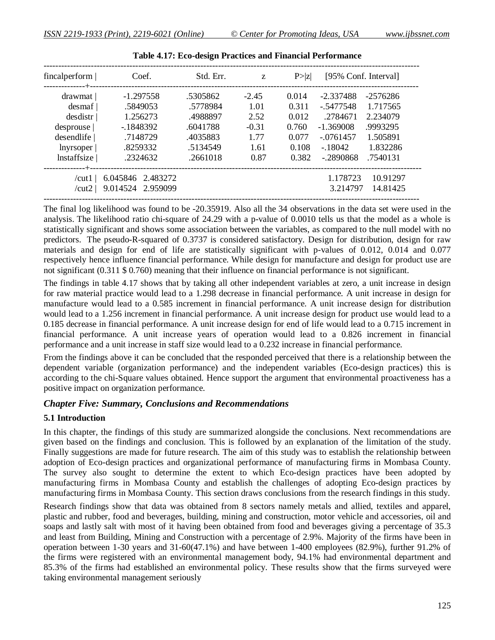| fincalperform  <br>.-----------+-- | Coef.                                  | Std. Err.                              | Z       | P >  Z | [95% Conf. Interval] |                      |
|------------------------------------|----------------------------------------|----------------------------------------|---------|--------|----------------------|----------------------|
| drawmat                            | $-1.297558$                            | .5305862                               | $-2.45$ | 0.014  | $-2.337488$          | $-2576286$           |
| desmaf                             | .5849053                               | .5778984                               | 1.01    | 0.311  | - 5477548            | 1.717565             |
| desdistr                           | 1.256273                               | .4988897                               | 2.52    | 0.012  | .2784671             | 2.234079             |
| desprouse                          | $-1848392$                             | .6041788                               | $-0.31$ | 0.760  | $-1.369008$          | .9993295             |
| desendlife                         | .7148729                               | .4035883                               | 1.77    | 0.077  | $-.0761457$          | 1.505891             |
| lnyrsoper                          | .8259332                               | .5134549                               | 1.61    | 0.108  | $-18042$             | 1.832286             |
| Instaffsize                        | .2324632                               | .2661018                               | 0.87    | 0.382  | $-2890868$           | .7540131             |
| --+-<br>/cut1<br>/cut2             | 6.045846 2.483272<br>9.014524 2.959099 | -------------------------------------- |         |        | 1.178723<br>3.214797 | 10.91297<br>14.81425 |

The final log likelihood was found to be -20.35919. Also all the 34 observations in the data set were used in the analysis. The likelihood ratio chi-square of 24.29 with a p-value of 0.0010 tells us that the model as a whole is statistically significant and shows some association between the variables, as compared to the null model with no predictors. The pseudo-R-squared of 0.3737 is considered satisfactory. Design for distribution, design for raw materials and design for end of life are statistically significant with p-values of 0.012, 0.014 and 0.077 respectively hence influence financial performance. While design for manufacture and design for product use are not significant (0.311 \$ 0.760) meaning that their influence on financial performance is not significant.

The findings in table 4.17 shows that by taking all other independent variables at zero, a unit increase in design for raw material practice would lead to a 1.298 decrease in financial performance. A unit increase in design for manufacture would lead to a 0.585 increment in financial performance. A unit increase design for distribution would lead to a 1.256 increment in financial performance. A unit increase design for product use would lead to a 0.185 decrease in financial performance. A unit increase design for end of life would lead to a 0.715 increment in financial performance. A unit increase years of operation would lead to a 0.826 increment in financial performance and a unit increase in staff size would lead to a 0.232 increase in financial performance.

From the findings above it can be concluded that the responded perceived that there is a relationship between the dependent variable (organization performance) and the independent variables (Eco-design practices) this is according to the chi-Square values obtained. Hence support the argument that environmental proactiveness has a positive impact on organization performance.

#### *Chapter Five: Summary, Conclusions and Recommendations*

#### **5.1 Introduction**

In this chapter, the findings of this study are summarized alongside the conclusions. Next recommendations are given based on the findings and conclusion. This is followed by an explanation of the limitation of the study. Finally suggestions are made for future research. The aim of this study was to establish the relationship between adoption of Eco-design practices and organizational performance of manufacturing firms in Mombasa County. The survey also sought to determine the extent to which Eco-design practices have been adopted by manufacturing firms in Mombasa County and establish the challenges of adopting Eco-design practices by manufacturing firms in Mombasa County. This section draws conclusions from the research findings in this study.

Research findings show that data was obtained from 8 sectors namely metals and allied, textiles and apparel, plastic and rubber, food and beverages, building, mining and construction, motor vehicle and accessories, oil and soaps and lastly salt with most of it having been obtained from food and beverages giving a percentage of 35.3 and least from Building, Mining and Construction with a percentage of 2.9%. Majority of the firms have been in operation between 1-30 years and 31-60(47.1%) and have between 1-400 employees (82.9%), further 91.2% of the firms were registered with an environmental management body, 94.1% had environmental department and 85.3% of the firms had established an environmental policy. These results show that the firms surveyed were taking environmental management seriously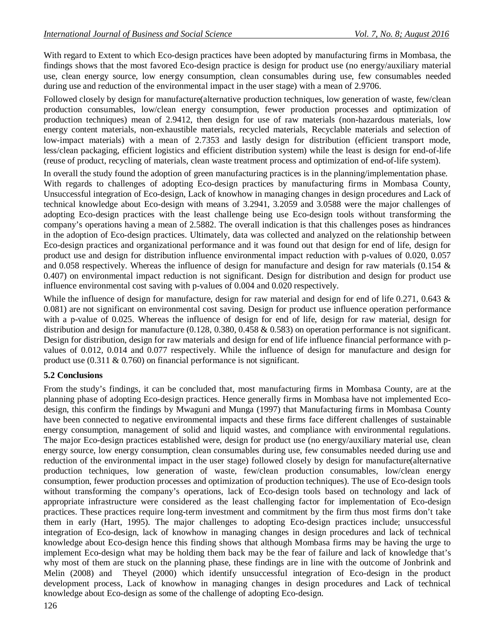With regard to Extent to which Eco-design practices have been adopted by manufacturing firms in Mombasa, the findings shows that the most favored Eco-design practice is design for product use (no energy/auxiliary material use, clean energy source, low energy consumption, clean consumables during use, few consumables needed during use and reduction of the environmental impact in the user stage) with a mean of 2.9706.

Followed closely by design for manufacture(alternative production techniques, low generation of waste, few/clean production consumables, low/clean energy consumption, fewer production processes and optimization of production techniques) mean of 2.9412, then design for use of raw materials (non-hazardous materials, low energy content materials, non-exhaustible materials, recycled materials, Recyclable materials and selection of low-impact materials) with a mean of 2.7353 and lastly design for distribution (efficient transport mode, less/clean packaging, efficient logistics and efficient distribution system) while the least is design for end-of-life (reuse of product, recycling of materials, clean waste treatment process and optimization of end-of-life system).

In overall the study found the adoption of green manufacturing practices is in the planning/implementation phase. With regards to challenges of adopting Eco-design practices by manufacturing firms in Mombasa County, Unsuccessful integration of Eco-design, Lack of knowhow in managing changes in design procedures and Lack of technical knowledge about Eco-design with means of 3.2941, 3.2059 and 3.0588 were the major challenges of adopting Eco-design practices with the least challenge being use Eco-design tools without transforming the company's operations having a mean of 2.5882. The overall indication is that this challenges poses as hindrances in the adoption of Eco-design practices. Ultimately, data was collected and analyzed on the relationship between Eco-design practices and organizational performance and it was found out that design for end of life, design for product use and design for distribution influence environmental impact reduction with p-values of 0.020, 0.057 and 0.058 respectively. Whereas the influence of design for manufacture and design for raw materials (0.154 & 0.407) on environmental impact reduction is not significant. Design for distribution and design for product use influence environmental cost saving with p-values of 0.004 and 0.020 respectively.

While the influence of design for manufacture, design for raw material and design for end of life 0.271, 0.643 & 0.081) are not significant on environmental cost saving. Design for product use influence operation performance with a p-value of 0.025. Whereas the influence of design for end of life, design for raw material, design for distribution and design for manufacture (0.128, 0.380, 0.458 & 0.583) on operation performance is not significant. Design for distribution, design for raw materials and design for end of life influence financial performance with pvalues of 0.012, 0.014 and 0.077 respectively. While the influence of design for manufacture and design for product use (0.311 & 0.760) on financial performance is not significant.

#### **5.2 Conclusions**

From the study's findings, it can be concluded that, most manufacturing firms in Mombasa County, are at the planning phase of adopting Eco-design practices. Hence generally firms in Mombasa have not implemented Ecodesign, this confirm the findings by Mwaguni and Munga (1997) that Manufacturing firms in Mombasa County have been connected to negative environmental impacts and these firms face different challenges of sustainable energy consumption, management of solid and liquid wastes, and compliance with environmental regulations. The major Eco-design practices established were, design for product use (no energy/auxiliary material use, clean energy source, low energy consumption, clean consumables during use, few consumables needed during use and reduction of the environmental impact in the user stage) followed closely by design for manufacture(alternative production techniques, low generation of waste, few/clean production consumables, low/clean energy consumption, fewer production processes and optimization of production techniques). The use of Eco-design tools without transforming the company's operations, lack of Eco-design tools based on technology and lack of appropriate infrastructure were considered as the least challenging factor for implementation of Eco-design practices. These practices require long-term investment and commitment by the firm thus most firms don't take them in early (Hart, 1995). The major challenges to adopting Eco-design practices include; unsuccessful integration of Eco-design, lack of knowhow in managing changes in design procedures and lack of technical knowledge about Eco-design hence this finding shows that although Mombasa firms may be having the urge to implement Eco-design what may be holding them back may be the fear of failure and lack of knowledge that's why most of them are stuck on the planning phase, these findings are in line with the outcome of Jonbrink and Melin (2008) and Theyel (2000) which identify unsuccessful integration of Eco-design in the product development process, Lack of knowhow in managing changes in design procedures and Lack of technical knowledge about Eco-design as some of the challenge of adopting Eco-design.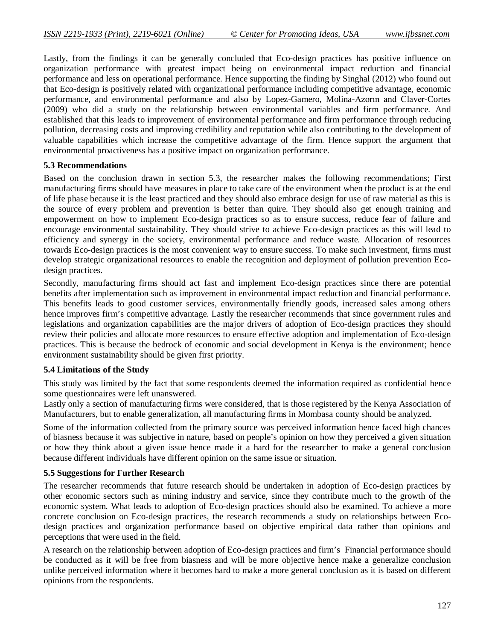Lastly, from the findings it can be generally concluded that Eco-design practices has positive influence on organization performance with greatest impact being on environmental impact reduction and financial performance and less on operational performance. Hence supporting the finding by Singhal (2012) who found out that Eco-design is positively related with organizational performance including competitive advantage, economic performance, and environmental performance and also by Lopez-Gamero, Molina-Azorın and Claver-Cortes (2009) who did a study on the relationship between environmental variables and firm performance. And established that this leads to improvement of environmental performance and firm performance through reducing pollution, decreasing costs and improving credibility and reputation while also contributing to the development of valuable capabilities which increase the competitive advantage of the firm. Hence support the argument that environmental proactiveness has a positive impact on organization performance.

#### **5.3 Recommendations**

Based on the conclusion drawn in section 5.3, the researcher makes the following recommendations; First manufacturing firms should have measures in place to take care of the environment when the product is at the end of life phase because it is the least practiced and they should also embrace design for use of raw material as this is the source of every problem and prevention is better than quire. They should also get enough training and empowerment on how to implement Eco-design practices so as to ensure success, reduce fear of failure and encourage environmental sustainability. They should strive to achieve Eco-design practices as this will lead to efficiency and synergy in the society, environmental performance and reduce waste. Allocation of resources towards Eco-design practices is the most convenient way to ensure success. To make such investment, firms must develop strategic organizational resources to enable the recognition and deployment of pollution prevention Ecodesign practices.

Secondly, manufacturing firms should act fast and implement Eco-design practices since there are potential benefits after implementation such as improvement in environmental impact reduction and financial performance. This benefits leads to good customer services, environmentally friendly goods, increased sales among others hence improves firm's competitive advantage. Lastly the researcher recommends that since government rules and legislations and organization capabilities are the major drivers of adoption of Eco-design practices they should review their policies and allocate more resources to ensure effective adoption and implementation of Eco-design practices. This is because the bedrock of economic and social development in Kenya is the environment; hence environment sustainability should be given first priority.

#### **5.4 Limitations of the Study**

This study was limited by the fact that some respondents deemed the information required as confidential hence some questionnaires were left unanswered.

Lastly only a section of manufacturing firms were considered, that is those registered by the Kenya Association of Manufacturers, but to enable generalization, all manufacturing firms in Mombasa county should be analyzed.

Some of the information collected from the primary source was perceived information hence faced high chances of biasness because it was subjective in nature, based on people's opinion on how they perceived a given situation or how they think about a given issue hence made it a hard for the researcher to make a general conclusion because different individuals have different opinion on the same issue or situation.

#### **5.5 Suggestions for Further Research**

The researcher recommends that future research should be undertaken in adoption of Eco-design practices by other economic sectors such as mining industry and service, since they contribute much to the growth of the economic system. What leads to adoption of Eco-design practices should also be examined. To achieve a more concrete conclusion on Eco-design practices, the research recommends a study on relationships between Ecodesign practices and organization performance based on objective empirical data rather than opinions and perceptions that were used in the field.

A research on the relationship between adoption of Eco-design practices and firm's Financial performance should be conducted as it will be free from biasness and will be more objective hence make a generalize conclusion unlike perceived information where it becomes hard to make a more general conclusion as it is based on different opinions from the respondents.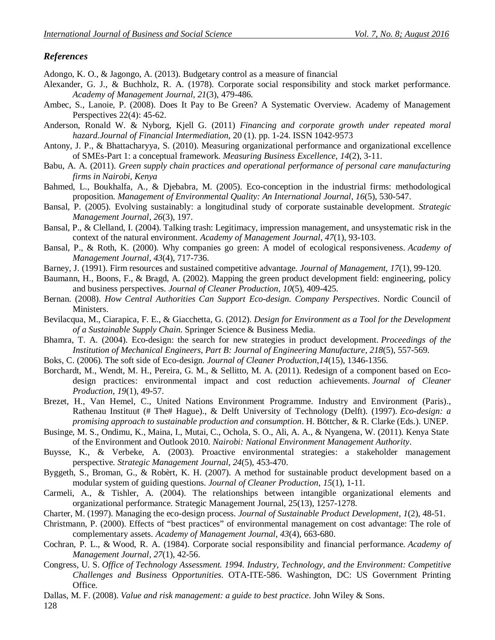## *References*

Adongo, K. O., & Jagongo, A. (2013). Budgetary control as a measure of financial

- Alexander, G. J., & Buchholz, R. A. (1978). Corporate social responsibility and stock market performance. *Academy of Management Journal*, *21*(3), 479-486.
- Ambec, S., Lanoie, P. (2008). Does It Pay to Be Green? A Systematic Overview. Academy of Management Perspectives 22(4): 45-62.
- Anderson, Ronald W. & Nyborg, Kjell G. (2011) *Financing and corporate growth under repeated moral hazard.Journal of Financial Intermediation*, 20 (1). pp. 1-24. ISSN 1042-9573
- Antony, J. P., & Bhattacharyya, S. (2010). Measuring organizational performance and organizational excellence of SMEs-Part 1: a conceptual framework. *Measuring Business Excellence*, *14*(2), 3-11.
- Babu, A. A. (2011). *Green supply chain practices and operational performance of personal care manufacturing firms in Nairobi, Kenya*
- Bahmed, L., Boukhalfa, A., & Djebabra, M. (2005). Eco-conception in the industrial firms: methodological proposition. *Management of Environmental Quality: An International Journal*, *16*(5), 530-547.
- Bansal, P. (2005). Evolving sustainably: a longitudinal study of corporate sustainable development. *Strategic Management Journal*, *26*(3), 197.
- Bansal, P., & Clelland, I. (2004). Talking trash: Legitimacy, impression management, and unsystematic risk in the context of the natural environment. *Academy of Management Journal*, *47*(1), 93-103.
- Bansal, P., & Roth, K. (2000). Why companies go green: A model of ecological responsiveness. *Academy of Management Journal*, *43*(4), 717-736.
- Barney, J. (1991). Firm resources and sustained competitive advantage. *Journal of Management*, *17*(1), 99-120.
- Baumann, H., Boons, F., & Bragd, A. (2002). Mapping the green product development field: engineering, policy and business perspectives. *Journal of Cleaner Production*, *10*(5), 409-425.
- Bernan. (2008). *How Central Authorities Can Support Eco-design. Company Perspectives*. Nordic Council of Ministers.
- Bevilacqua, M., Ciarapica, F. E., & Giacchetta, G. (2012). *Design for Environment as a Tool for the Development of a Sustainable Supply Chain*. Springer Science & Business Media.
- Bhamra, T. A. (2004). Eco-design: the search for new strategies in product development. *Proceedings of the Institution of Mechanical Engineers, Part B: Journal of Engineering Manufacture*, *218*(5), 557-569.
- Boks, C. (2006). The soft side of Eco-design. *Journal of Cleaner Production*,*14*(15), 1346-1356.
- Borchardt, M., Wendt, M. H., Pereira, G. M., & Sellitto, M. A. (2011). Redesign of a component based on Ecodesign practices: environmental impact and cost reduction achievements. *Journal of Cleaner Production*, *19*(1), 49-57.
- Brezet, H., Van Hemel, C., United Nations Environment Programme. Industry and Environment (Paris)., Rathenau Instituut (# The# Hague)., & Delft University of Technology (Delft). (1997). *Eco-design: a promising approach to sustainable production and consumption*. H. Böttcher, & R. Clarke (Eds.). UNEP.
- Businge, M. S., Ondimu, K., Maina, I., Mutai, C., Ochola, S. O., Ali, A. A., & Nyangena, W. (2011). Kenya State of the Environment and Outlook 2010. *Nairobi: National Environment Management Authority*.
- Buysse, K., & Verbeke, A. (2003). Proactive environmental strategies: a stakeholder management perspective. *Strategic Management Journal*, *24*(5), 453-470.
- Byggeth, S., Broman, G., & Robèrt, K. H. (2007). A method for sustainable product development based on a modular system of guiding questions. *Journal of Cleaner Production*, *15*(1), 1-11.
- Carmeli, A., & Tishler, A. (2004). The relationships between intangible organizational elements and organizational performance. Strategic Management Journal, 25(13), 1257-1278.
- Charter, M. (1997). Managing the eco-design process. *Journal of Sustainable Product Development*, *1*(2), 48-51.
- Christmann, P. (2000). Effects of "best practices" of environmental management on cost advantage: The role of complementary assets. *Academy of Management Journal*, *43*(4), 663-680.
- Cochran, P. L., & Wood, R. A. (1984). Corporate social responsibility and financial performance. *Academy of Management Journal*, *27*(1), 42-56.
- Congress, U. S. *Office of Technology Assessment. 1994. Industry, Technology, and the Environment: Competitive Challenges and Business Opportunities*. OTA-ITE-586. Washington, DC: US Government Printing Office.

Dallas, M. F. (2008). *Value and risk management: a guide to best practice*. John Wiley & Sons.

128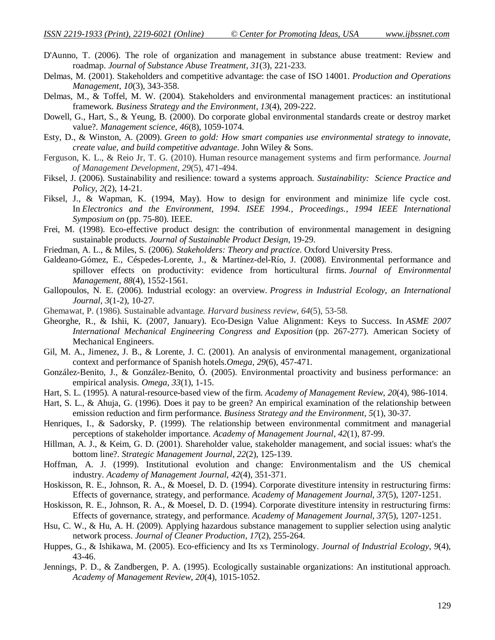- D'Aunno, T. (2006). The role of organization and management in substance abuse treatment: Review and roadmap. *Journal of Substance Abuse Treatment*, *31*(3), 221-233.
- Delmas, M. (2001). Stakeholders and competitive advantage: the case of ISO 14001. *Production and Operations Management*, *10*(3), 343-358.
- Delmas, M., & Toffel, M. W. (2004). Stakeholders and environmental management practices: an institutional framework. *Business Strategy and the Environment*, *13*(4), 209-222.
- Dowell, G., Hart, S., & Yeung, B. (2000). Do corporate global environmental standards create or destroy market value?. *Management science*, *46*(8), 1059-1074.
- Esty, D., & Winston, A. (2009). *Green to gold: How smart companies use environmental strategy to innovate, create value, and build competitive advantage*. John Wiley & Sons.
- Ferguson, K. L., & Reio Jr, T. G. (2010). Human resource management systems and firm performance. *Journal of Management Development*, *29*(5), 471-494.
- Fiksel, J. (2006). Sustainability and resilience: toward a systems approach. *Sustainability: Science Practice and Policy*, *2*(2), 14-21.
- Fiksel, J., & Wapman, K. (1994, May). How to design for environment and minimize life cycle cost. In *Electronics and the Environment, 1994. ISEE 1994., Proceedings., 1994 IEEE International Symposium on* (pp. 75-80). IEEE.
- Frei, M. (1998). Eco-effective product design: the contribution of environmental management in designing sustainable products. *Journal of Sustainable Product Design*, 19-29.
- Friedman, A. L., & Miles, S. (2006). *Stakeholders: Theory and practice*. Oxford University Press.
- Galdeano-Gómez, E., Céspedes-Lorente, J., & Martínez-del-Río, J. (2008). Environmental performance and spillover effects on productivity: evidence from horticultural firms. *Journal of Environmental Management*, *88*(4), 1552-1561.
- Gallopoulos, N. E. (2006). Industrial ecology: an overview. *Progress in Industrial Ecology, an International Journal*, *3*(1-2), 10-27.
- Ghemawat, P. (1986). Sustainable advantage. *Harvard business review*, *64*(5), 53-58.
- Gheorghe, R., & Ishii, K. (2007, January). Eco-Design Value Alignment: Keys to Success. In *ASME 2007 International Mechanical Engineering Congress and Exposition* (pp. 267-277). American Society of Mechanical Engineers.
- Gil, M. A., Jimenez, J. B., & Lorente, J. C. (2001). An analysis of environmental management, organizational context and performance of Spanish hotels.*Omega*, *29*(6), 457-471.
- González-Benito, J., & González-Benito, Ó. (2005). Environmental proactivity and business performance: an empirical analysis. *Omega*, *33*(1), 1-15.
- Hart, S. L. (1995). A natural-resource-based view of the firm. *Academy of Management Review*, *20*(4), 986-1014.
- Hart, S. L., & Ahuja, G. (1996). Does it pay to be green? An empirical examination of the relationship between emission reduction and firm performance. *Business Strategy and the Environment*, *5*(1), 30-37.
- Henriques, I., & Sadorsky, P. (1999). The relationship between environmental commitment and managerial perceptions of stakeholder importance. *Academy of Management Journal*, *42*(1), 87-99.
- Hillman, A. J., & Keim, G. D. (2001). Shareholder value, stakeholder management, and social issues: what's the bottom line?. *Strategic Management Journal*, *22*(2), 125-139.
- Hoffman, A. J. (1999). Institutional evolution and change: Environmentalism and the US chemical industry. *Academy of Management Journal*, *42*(4), 351-371.
- Hoskisson, R. E., Johnson, R. A., & Moesel, D. D. (1994). Corporate divestiture intensity in restructuring firms: Effects of governance, strategy, and performance. *Academy of Management Journal*, *37*(5), 1207-1251.
- Hoskisson, R. E., Johnson, R. A., & Moesel, D. D. (1994). Corporate divestiture intensity in restructuring firms: Effects of governance, strategy, and performance. *Academy of Management Journal*, *37*(5), 1207-1251.
- Hsu, C. W., & Hu, A. H. (2009). Applying hazardous substance management to supplier selection using analytic network process. *Journal of Cleaner Production*, *17*(2), 255-264.
- Huppes, G., & Ishikawa, M. (2005). Eco-efficiency and Its xs Terminology. *Journal of Industrial Ecology*, 9(4), 43-46.
- Jennings, P. D., & Zandbergen, P. A. (1995). Ecologically sustainable organizations: An institutional approach. *Academy of Management Review*, *20*(4), 1015-1052.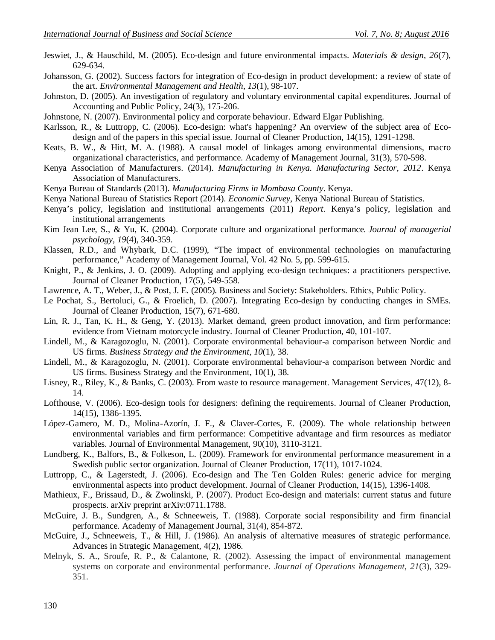- Jeswiet, J., & Hauschild, M. (2005). Eco-design and future environmental impacts. *Materials & design*, *26*(7), 629-634.
- Johansson, G. (2002). Success factors for integration of Eco-design in product development: a review of state of the art. *Environmental Management and Health*, *13*(1), 98-107.
- Johnston, D. (2005). An investigation of regulatory and voluntary environmental capital expenditures. Journal of Accounting and Public Policy, 24(3), 175-206.
- Johnstone, N. (2007). Environmental policy and corporate behaviour. Edward Elgar Publishing.
- Karlsson, R., & Luttropp, C. (2006). Eco-design: what's happening? An overview of the subject area of Ecodesign and of the papers in this special issue. Journal of Cleaner Production, 14(15), 1291-1298.
- Keats, B. W., & Hitt, M. A. (1988). A causal model of linkages among environmental dimensions, macro organizational characteristics, and performance. Academy of Management Journal, 31(3), 570-598.
- Kenya Association of Manufacturers. (2014). *Manufacturing in Kenya. Manufacturing Sector, 2012*. Kenya Association of Manufacturers.
- Kenya Bureau of Standards (2013). *Manufacturing Firms in Mombasa County*. Kenya.
- Kenya National Bureau of Statistics Report (2014). *Economic Survey*, Kenya National Bureau of Statistics.
- Kenya's policy, legislation and institutional arrangements (2011) *Report*. Kenya's policy, legislation and institutional arrangements
- Kim Jean Lee, S., & Yu, K. (2004). Corporate culture and organizational performance. *Journal of managerial psychology*, *19*(4), 340-359.
- Klassen, R.D., and Whybark, D.C. (1999), "The impact of environmental technologies on manufacturing performance," Academy of Management Journal, Vol. 42 No. 5, pp. 599-615.
- Knight, P., & Jenkins, J. O. (2009). Adopting and applying eco-design techniques: a practitioners perspective. Journal of Cleaner Production, 17(5), 549-558.
- Lawrence, A. T., Weber, J., & Post, J. E. (2005). Business and Society: Stakeholders. Ethics, Public Policy.
- Le Pochat, S., Bertoluci, G., & Froelich, D. (2007). Integrating Eco-design by conducting changes in SMEs. Journal of Cleaner Production, 15(7), 671-680.
- Lin, R. J., Tan, K. H., & Geng, Y. (2013). Market demand, green product innovation, and firm performance: evidence from Vietnam motorcycle industry. Journal of Cleaner Production, 40, 101-107.
- Lindell, M., & Karagozoglu, N. (2001). Corporate environmental behaviour-a comparison between Nordic and US firms. *Business Strategy and the Environment*, *10*(1), 38.
- Lindell, M., & Karagozoglu, N. (2001). Corporate environmental behaviour-a comparison between Nordic and US firms. Business Strategy and the Environment, 10(1), 38.
- Lisney, R., Riley, K., & Banks, C. (2003). From waste to resource management. Management Services, 47(12), 8- 14.
- Lofthouse, V. (2006). Eco-design tools for designers: defining the requirements. Journal of Cleaner Production, 14(15), 1386-1395.
- López-Gamero, M. D., Molina-Azorín, J. F., & Claver-Cortes, E. (2009). The whole relationship between environmental variables and firm performance: Competitive advantage and firm resources as mediator variables. Journal of Environmental Management, 90(10), 3110-3121.
- Lundberg, K., Balfors, B., & Folkeson, L. (2009). Framework for environmental performance measurement in a Swedish public sector organization. Journal of Cleaner Production, 17(11), 1017-1024.
- Luttropp, C., & Lagerstedt, J. (2006). Eco-design and The Ten Golden Rules: generic advice for merging environmental aspects into product development. Journal of Cleaner Production, 14(15), 1396-1408.
- Mathieux, F., Brissaud, D., & Zwolinski, P. (2007). Product Eco-design and materials: current status and future prospects. arXiv preprint arXiv:0711.1788.
- McGuire, J. B., Sundgren, A., & Schneeweis, T. (1988). Corporate social responsibility and firm financial performance. Academy of Management Journal, 31(4), 854-872.
- McGuire, J., Schneeweis, T., & Hill, J. (1986). An analysis of alternative measures of strategic performance. Advances in Strategic Management, 4(2), 1986.
- Melnyk, S. A., Sroufe, R. P., & Calantone, R. (2002). Assessing the impact of environmental management systems on corporate and environmental performance. *Journal of Operations Management*, *21*(3), 329- 351.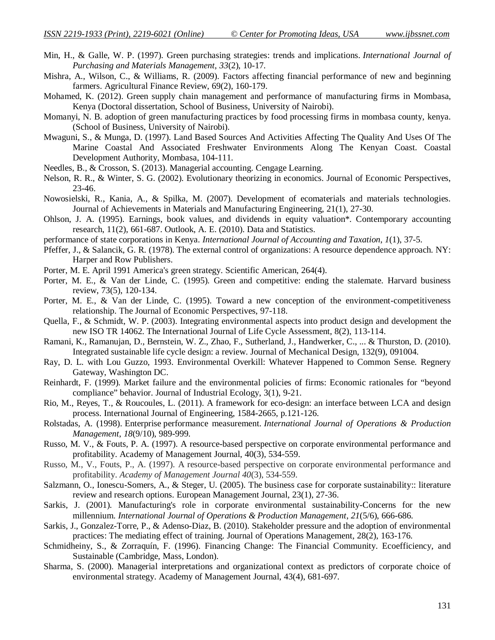- Min, H., & Galle, W. P. (1997). Green purchasing strategies: trends and implications. *International Journal of Purchasing and Materials Management*, *33*(2), 10-17.
- Mishra, A., Wilson, C., & Williams, R. (2009). Factors affecting financial performance of new and beginning farmers. Agricultural Finance Review, 69(2), 160-179.
- Mohamed, K. (2012). Green supply chain management and performance of manufacturing firms in Mombasa, Kenya (Doctoral dissertation, School of Business, University of Nairobi).
- Momanyi, N. B. adoption of green manufacturing practices by food processing firms in mombasa county, kenya. (School of Business, University of Nairobi).
- Mwaguni, S., & Munga, D. (1997). Land Based Sources And Activities Affecting The Quality And Uses Of The Marine Coastal And Associated Freshwater Environments Along The Kenyan Coast. Coastal Development Authority, Mombasa, 104-111.
- Needles, B., & Crosson, S. (2013). Managerial accounting. Cengage Learning.
- Nelson, R. R., & Winter, S. G. (2002). Evolutionary theorizing in economics. Journal of Economic Perspectives, 23-46.
- Nowosielski, R., Kania, A., & Spilka, M. (2007). Development of ecomaterials and materials technologies. Journal of Achievements in Materials and Manufacturing Engineering, 21(1), 27-30.
- Ohlson, J. A. (1995). Earnings, book values, and dividends in equity valuation\*. Contemporary accounting research, 11(2), 661-687. Outlook, A. E. (2010). Data and Statistics.
- performance of state corporations in Kenya. *International Journal of Accounting and Taxation*, *1*(1), 37-5.
- Pfeffer, J., & Salancik, G. R. (1978). The external control of organizations: A resource dependence approach. NY: Harper and Row Publishers.
- Porter, M. E. April 1991 America's green strategy. Scientific American, 264(4).
- Porter, M. E., & Van der Linde, C. (1995). Green and competitive: ending the stalemate. Harvard business review, 73(5), 120-134.
- Porter, M. E., & Van der Linde, C. (1995). Toward a new conception of the environment-competitiveness relationship. The Journal of Economic Perspectives, 97-118.
- Quella, F., & Schmidt, W. P. (2003). Integrating environmental aspects into product design and development the new ISO TR 14062. The International Journal of Life Cycle Assessment, 8(2), 113-114.
- Ramani, K., Ramanujan, D., Bernstein, W. Z., Zhao, F., Sutherland, J., Handwerker, C., ... & Thurston, D. (2010). Integrated sustainable life cycle design: a review. Journal of Mechanical Design, 132(9), 091004.
- Ray, D. L. with Lou Guzzo, 1993. Environmental Overkill: Whatever Happened to Common Sense. Regnery Gateway, Washington DC.
- Reinhardt, F. (1999). Market failure and the environmental policies of firms: Economic rationales for "beyond compliance" behavior. Journal of Industrial Ecology, 3(1), 9-21.
- Rio, M., Reyes, T., & Roucoules, L. (2011). A framework for eco-design: an interface between LCA and design process. International Journal of Engineering, 1584-2665, p.121-126.
- Rolstadas, A. (1998). Enterprise performance measurement. *International Journal of Operations & Production Management*, *18*(9/10), 989-999.
- Russo, M. V., & Fouts, P. A. (1997). A resource-based perspective on corporate environmental performance and profitability. Academy of Management Journal, 40(3), 534-559.
- Russo, M., V., Fouts, P., A. (1997). A resource-based perspective on corporate environmental performance and profitability. *Academy of Management Journal 40*(3), 534-559.
- Salzmann, O., Ionescu-Somers, A., & Steger, U. (2005). The business case for corporate sustainability:: literature review and research options. European Management Journal, 23(1), 27-36.
- Sarkis, J. (2001). Manufacturing's role in corporate environmental sustainability-Concerns for the new millennium. *International Journal of Operations & Production Management*, *21*(5/6), 666-686.
- Sarkis, J., Gonzalez-Torre, P., & Adenso-Diaz, B. (2010). Stakeholder pressure and the adoption of environmental practices: The mediating effect of training. Journal of Operations Management, 28(2), 163-176.
- Schmidheiny, S., & Zorraquín, F. (1996). Financing Change: The Financial Community. Ecoefficiency, and Sustainable (Cambridge, Mass, London).
- Sharma, S. (2000). Managerial interpretations and organizational context as predictors of corporate choice of environmental strategy. Academy of Management Journal, 43(4), 681-697.